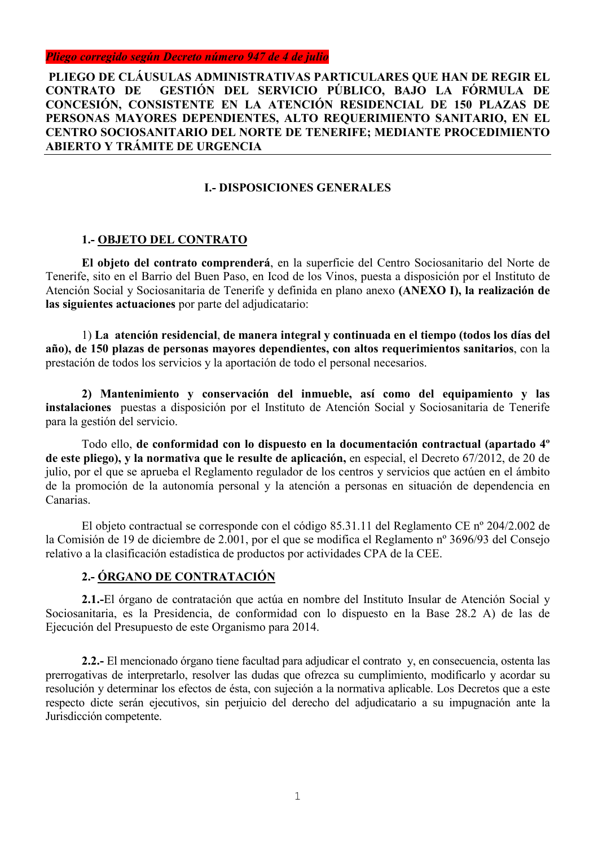Pliego corregido según Decreto número 947 de 4 de julio

PLIEGO DE CLÁUSULAS ADMINISTRATIVAS PARTICULARES QUE HAN DE REGIR EL GESTIÓN DEL SERVICIO PÚBLICO, BAJO LA FÓRMULA DE **CONTRATO DE** CONCESIÓN, CONSISTENTE EN LA ATENCIÓN RESIDENCIAL DE 150 PLAZAS DE PERSONAS MAYORES DEPENDIENTES, ALTO REOUERIMIENTO SANITARIO, EN EL CENTRO SOCIOSANITARIO DEL NORTE DE TENERIFE; MEDIANTE PROCEDIMIENTO ABIERTO Y TRÁMITE DE URGENCIA

## **I.- DISPOSICIONES GENERALES**

### **1.- OBJETO DEL CONTRATO**

El objeto del contrato comprenderá, en la superficie del Centro Sociosanitario del Norte de Tenerife, sito en el Barrio del Buen Paso, en Icod de los Vinos, puesta a disposición por el Instituto de Atención Social y Sociosanitaria de Tenerife y definida en plano anexo (ANEXO I), la realización de las siguientes actuaciones por parte del adjudicatario:

1) La atención residencial, de manera integral y continuada en el tiempo (todos los días del año), de 150 plazas de personas mayores dependientes, con altos requerimientos sanitarios, con la prestación de todos los servicios y la aportación de todo el personal necesarios.

2) Mantenimiento y conservación del inmueble, así como del equipamiento y las instalaciones puestas a disposición por el Instituto de Atención Social y Sociosanitaria de Tenerife para la gestión del servicio.

Todo ello, de conformidad con lo dispuesto en la documentación contractual (apartado 4<sup>°</sup> de este pliego), y la normativa que le resulte de aplicación, en especial, el Decreto 67/2012, de 20 de julio, por el que se aprueba el Reglamento regulador de los centros y servicios que actúen en el ámbito de la promoción de la autonomía personal y la atención a personas en situación de dependencia en Canarias.

El objeto contractual se corresponde con el código 85.31.11 del Reglamento CE nº 204/2.002 de la Comisión de 19 de diciembre de 2.001, por el que se modifica el Reglamento nº 3696/93 del Consejo relativo a la clasificación estadística de productos por actividades CPA de la CEE.

## 2.- ÓRGANO DE CONTRATACIÓN

2.1.-El órgano de contratación que actúa en nombre del Instituto Insular de Atención Social y Sociosanitaria, es la Presidencia, de conformidad con lo dispuesto en la Base 28.2 A) de las de Ejecución del Presupuesto de este Organismo para 2014.

2.2.- El mencionado órgano tiene facultad para adjudicar el contrato y, en consecuencia, ostenta las prerrogativas de interpretarlo, resolver las dudas que ofrezca su cumplimiento, modificarlo y acordar su resolución y determinar los efectos de ésta, con sujeción a la normativa aplicable. Los Decretos que a este respecto dicte serán ejecutivos, sin periuicio del derecho del adjudicatario a su impugnación ante la Jurisdicción competente.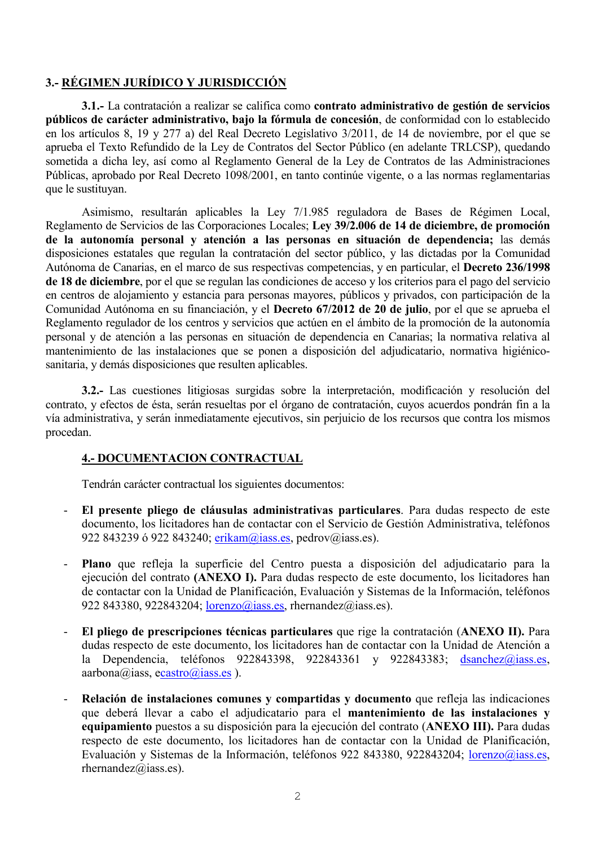## 3.- RÉGIMEN JURÍDICO Y JURISDICCIÓN

3.1.- La contratación a realizar se califica como contrato administrativo de gestión de servicios públicos de carácter administrativo, bajo la fórmula de concesión, de conformidad con lo establecido en los artículos 8, 19 y 277 a) del Real Decreto Legislativo 3/2011, de 14 de noviembre, por el que se aprueba el Texto Refundido de la Ley de Contratos del Sector Público (en adelante TRLCSP), quedando sometida a dicha ley, así como al Reglamento General de la Ley de Contratos de las Administraciones Públicas, aprobado por Real Decreto 1098/2001, en tanto continúe vigente, o a las normas reglamentarias que le sustituvan.

Asimismo, resultarán aplicables la Ley 7/1.985 reguladora de Bases de Régimen Local, Reglamento de Servicios de las Corporaciones Locales; Ley 39/2.006 de 14 de diciembre, de promoción de la autonomía personal y atención a las personas en situación de dependencia; las demás disposiciones estatales que regulan la contratación del sector público, y las dictadas por la Comunidad Autónoma de Canarias, en el marco de sus respectivas competencias, y en particular, el Decreto 236/1998 de 18 de diciembre, por el que se regulan las condiciones de acceso y los criterios para el pago del servicio en centros de alojamiento y estancia para personas mayores, públicos y privados, con participación de la Comunidad Autónoma en su financiación, y el Decreto 67/2012 de 20 de julio, por el que se aprueba el Reglamento regulador de los centros y servicios que actúen en el ámbito de la promoción de la autonomía personal y de atención a las personas en situación de dependencia en Canarias; la normativa relativa al mantenimiento de las instalaciones que se ponen a disposición del adjudicatario, normativa higiénicosanitaria, y demás disposiciones que resulten aplicables.

3.2.- Las cuestiones litigiosas surgidas sobre la interpretación, modificación y resolución del contrato, y efectos de ésta, serán resueltas por el órgano de contratación, cuyos acuerdos pondrán fin a la vía administrativa, y serán inmediatamente ejecutivos, sin periuicio de los recursos que contra los mismos procedan.

## **4.- DOCUMENTACION CONTRACTUAL**

Tendrán carácter contractual los siguientes documentos:

- El presente pliego de cláusulas administrativas particulares. Para dudas respecto de este documento, los licitadores han de contactar con el Servicio de Gestión Administrativa, teléfonos 922 843239 ó 922 843240; erikam@iass.es, pedrov@iass.es).
- Plano que refleja la superficie del Centro puesta a disposición del adjudicatario para la ejecución del contrato (ANEXO I). Para dudas respecto de este documento, los licitadores han de contactar con la Unidad de Planificación, Evaluación y Sistemas de la Información, teléfonos 922 843380, 922843204; lorenzo@iass.es, rhernandez@iass.es).
- El pliego de prescripciones técnicas particulares que rige la contratación (ANEXO II). Para dudas respecto de este documento, los licitadores han de contactar con la Unidad de Atención a la Dependencia, teléfonos 922843398, 922843361 y 922843383;  $dsanchez(\omega)$  ass.es.  $\arbona(\partial)$ iass, ecastro $(\partial)$ iass.es.).
- Relación de instalaciones comunes y compartidas y documento que refleja las indicaciones que deberá llevar a cabo el adjudicatario para el mantenimiento de las instalaciones y equipamiento puestos a su disposición para la ejecución del contrato (ANEXO III). Para dudas respecto de este documento, los licitadores han de contactar con la Unidad de Planificación, Evaluación y Sistemas de la Información, teléfonos 922 843380, 922843204; lorenzo@iass.es, rhernandez@iass.es).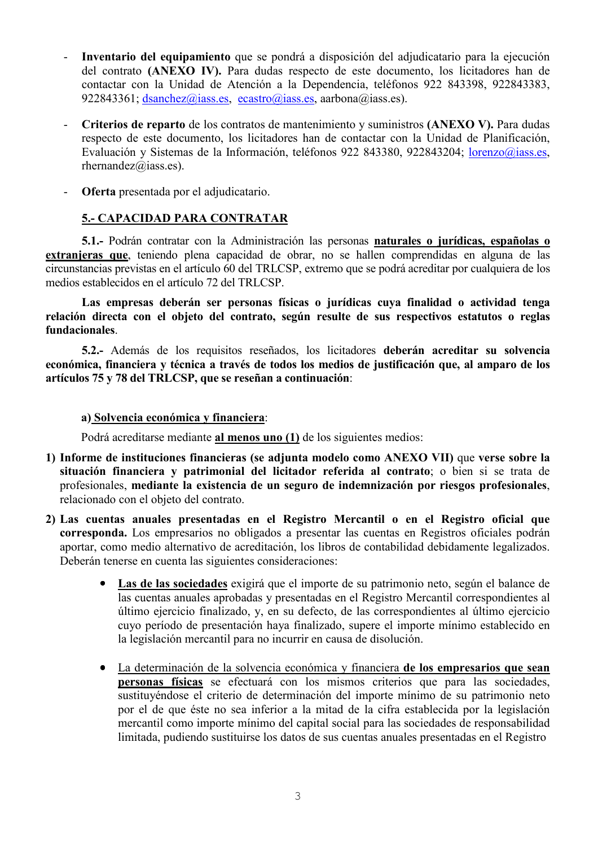- Inventario del equipamiento que se pondrá a disposición del adjudicatario para la ejecución del contrato (ANEXO IV). Para dudas respecto de este documento, los licitadores han de contactar con la Unidad de Atención a la Dependencia, teléfonos 922 843398, 922843383, 922843361;  $dsanchez@iass.es, ecastro@iass.es, aarbona@iass.es).$
- Criterios de reparto de los contratos de mantenimiento y suministros (ANEXO V). Para dudas respecto de este documento, los licitadores han de contactar con la Unidad de Planificación, Evaluación y Sistemas de la Información, teléfonos 922 843380, 922843204; lorenzo@iass.es, rhernandez@iass.es).
- Oferta presentada por el adjudicatario.

## 5.- CAPACIDAD PARA CONTRATAR

5.1.- Podrán contratar con la Administración las personas naturales o jurídicas, españolas o extranjeras que, teniendo plena capacidad de obrar, no se hallen comprendidas en alguna de las circunstancias previstas en el artículo 60 del TRLCSP, extremo que se podrá acreditar por cualquiera de los medios establecidos en el artículo 72 del TRLCSP.

Las empresas deberán ser personas físicas o jurídicas cuya finalidad o actividad tenga relación directa con el objeto del contrato, según resulte de sus respectivos estatutos o reglas fundacionales.

5.2.- Además de los requisitos reseñados, los licitadores deberán acreditar su solvencia económica, financiera y técnica a través de todos los medios de justificación que, al amparo de los artículos 75 y 78 del TRLCSP, que se reseñan a continuación:

### a) Solvencia económica y financiera:

Podrá acreditarse mediante al menos uno (1) de los siguientes medios:

- 1) Informe de instituciones financieras (se adjunta modelo como ANEXO VII) que verse sobre la situación financiera y patrimonial del licitador referida al contrato: o bien si se trata de profesionales, mediante la existencia de un seguro de indemnización por riesgos profesionales, relacionado con el objeto del contrato.
- 2) Las cuentas anuales presentadas en el Registro Mercantil o en el Registro oficial que corresponda. Los empresarios no obligados a presentar las cuentas en Registros oficiales podrán aportar, como medio alternativo de acreditación, los libros de contabilidad debidamente legalizados. Deberán tenerse en cuenta las siguientes consideraciones:
	- Las de las sociedades exigirá que el importe de su patrimonio neto, según el balance de  $\bullet$ las cuentas anuales aprobadas y presentadas en el Registro Mercantil correspondientes al último ejercicio finalizado, y, en su defecto, de las correspondientes al último ejercicio cuyo período de presentación haya finalizado, supere el importe mínimo establecido en la legislación mercantil para no incurrir en causa de disolución.
	- La determinación de la solvencia económica y financiera de los empresarios que sean  $\bullet$ personas físicas se efectuará con los mismos criterios que para las sociedades, sustituyéndose el criterio de determinación del importe mínimo de su patrimonio neto por el de que éste no sea inferior a la mitad de la cifra establecida por la legislación mercantil como importe mínimo del capital social para las sociedades de responsabilidad limitada, pudiendo sustituirse los datos de sus cuentas anuales presentadas en el Registro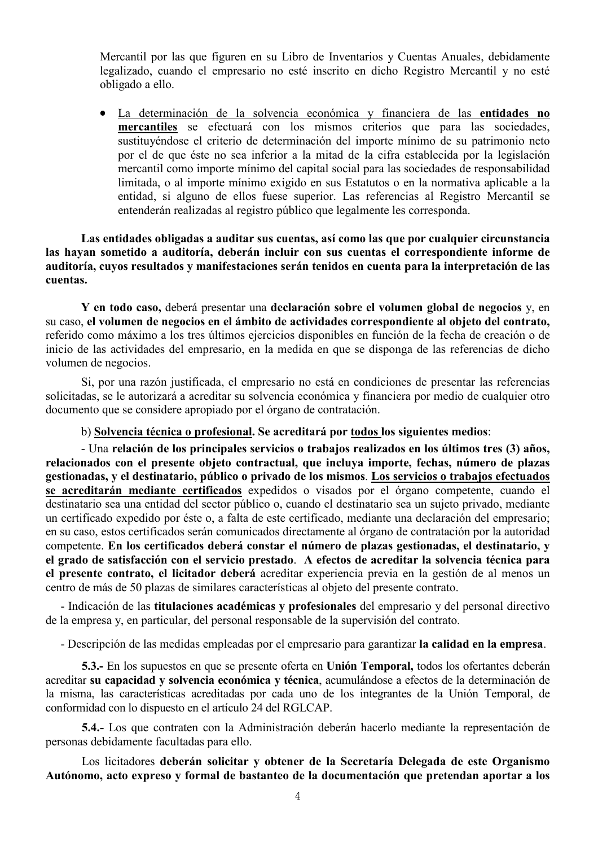Mercantil por las que figuren en su Libro de Inventarios y Cuentas Anuales, debidamente legalizado, cuando el empresario no esté inscrito en dicho Registro Mercantil y no esté obligado a ello.

· La determinación de la solvencia económica y financiera de las entidades no mercantiles se efectuará con los mismos criterios que para las sociedades, sustituyéndose el criterio de determinación del importe mínimo de su patrimonio neto por el de que éste no sea inferior a la mitad de la cifra establecida por la legislación mercantil como importe mínimo del capital social para las sociedades de responsabilidad limitada, o al importe mínimo exigido en sus Estatutos o en la normativa aplicable a la entidad, si alguno de ellos fuese superior. Las referencias al Registro Mercantil se entenderán realizadas al registro público que legalmente les corresponda.

Las entidades obligadas a auditar sus cuentas, así como las que por cualquier circunstancia las hayan sometido a auditoría, deberán incluir con sus cuentas el correspondiente informe de auditoría, cuvos resultados y manifestaciones serán tenidos en cuenta para la interpretación de las cuentas.

Y en todo caso, deberá presentar una declaración sobre el volumen global de negocios y, en su caso, el volumen de negocios en el ámbito de actividades correspondiente al obieto del contrato, referido como máximo a los tres últimos ejercicios disponibles en función de la fecha de creación o de inicio de las actividades del empresario, en la medida en que se disponga de las referencias de dicho volumen de negocios.

Si, por una razón justificada, el empresario no está en condiciones de presentar las referencias solicitadas, se le autorizará a acreditar su solvencia económica y financiera por medio de cualquier otro documento que se considere apropiado por el órgano de contratación.

b) Solvencia técnica o profesional. Se acreditará por todos los siguientes medios:

- Una relación de los principales servicios o trabajos realizados en los últimos tres (3) años, relacionados con el presente objeto contractual, que incluya importe, fechas, número de plazas gestionadas, y el destinatario, público o privado de los mismos. Los servicios o trabajos efectuados se acreditarán mediante certificados expedidos o visados por el órgano competente, cuando el destinatario sea una entidad del sector público o, cuando el destinatario sea un sujeto privado, mediante un certificado expedido por éste o, a falta de este certificado, mediante una declaración del empresario; en su caso, estos certificados serán comunicados directamente al órgano de contratación por la autoridad competente. En los certificados deberá constar el número de plazas gestionadas, el destinatario, y el grado de satisfacción con el servicio prestado. A efectos de acreditar la solvencia técnica para el presente contrato, el licitador deberá acreditar experiencia previa en la gestión de al menos un centro de más de 50 plazas de similares características al objeto del presente contrato.

- Indicación de las titulaciones académicas y profesionales del empresario y del personal directivo de la empresa y, en particular, del personal responsable de la supervisión del contrato.

- Descripción de las medidas empleadas por el empresario para garantizar la calidad en la empresa.

5.3.- En los supuestos en que se presente oferta en Unión Temporal, todos los ofertantes deberán acreditar su capacidad y solvencia económica y técnica, acumulándose a efectos de la determinación de la misma, las características acreditadas por cada uno de los integrantes de la Unión Temporal, de conformidad con lo dispuesto en el artículo 24 del RGLCAP.

5.4.- Los que contraten con la Administración deberán hacerlo mediante la representación de personas debidamente facultadas para ello.

Los licitadores deberán solicitar y obtener de la Secretaría Delegada de este Organismo Autónomo, acto expreso y formal de bastanteo de la documentación que pretendan aportar a los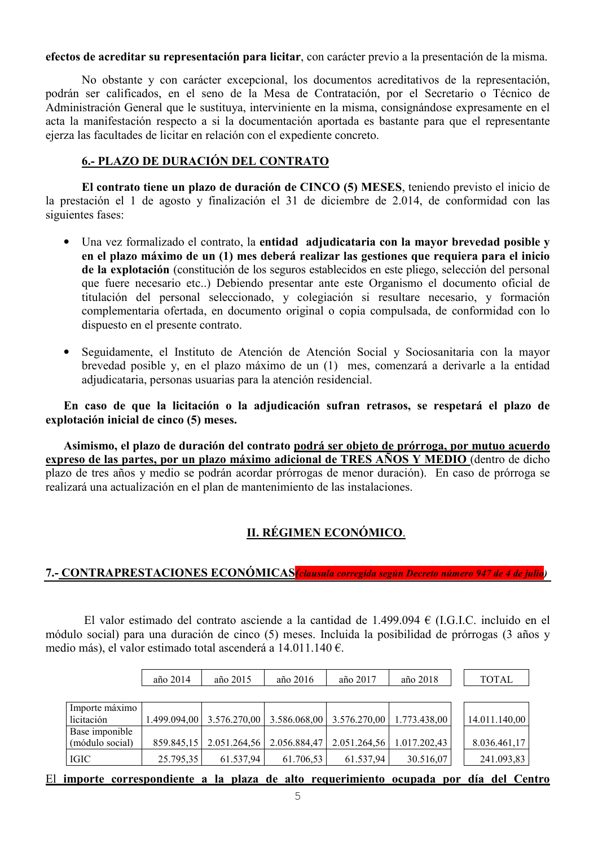efectos de acreditar su representación para licitar, con carácter previo a la presentación de la misma.

No obstante y con carácter excepcional, los documentos acreditativos de la representación, podrán ser calificados, en el seno de la Mesa de Contratación, por el Secretario o Técnico de Administración General que le sustituya, interviniente en la misma, consignándose expresamente en el acta la manifestación respecto a si la documentación aportada es bastante para que el representante ejerza las facultades de licitar en relación con el expediente concreto.

## 6.- PLAZO DE DURACIÓN DEL CONTRATO

El contrato tiene un plazo de duración de CINCO (5) MESES, teniendo previsto el inicio de la prestación el 1 de agosto y finalización el 31 de diciembre de 2.014, de conformidad con las siguientes fases:

- Una vez formalizado el contrato, la entidad adjudicataria con la mayor brevedad posible v en el plazo máximo de un (1) mes deberá realizar las gestiones que requiera para el inicio de la explotación (constitución de los seguros establecidos en este pliego, selección del personal que fuere necesario etc..) Debiendo presentar ante este Organismo el documento oficial de titulación del personal seleccionado, y colegiación si resultare necesario, y formación complementaria ofertada, en documento original o copia compulsada, de conformidad con lo dispuesto en el presente contrato.
- Seguidamente, el Instituto de Atención de Atención Social y Sociosanitaria con la mayor brevedad posible y, en el plazo máximo de un (1) mes, comenzará a derivarle a la entidad adjudicataria, personas usuarias para la atención residencial.

En caso de que la licitación o la adjudicación sufran retrasos, se respetará el plazo de explotación inicial de cinco (5) meses.

Asimismo, el plazo de duración del contrato podrá ser objeto de prórroga, por mutuo acuerdo expreso de las partes, por un plazo máximo adicional de TRES AÑOS Y MEDIO (dentro de dicho plazo de tres años y medio se podrán acordar prórrogas de menor duración). En caso de prórroga se realizará una actualización en el plan de mantenimiento de las instalaciones.

# II. RÉGIMEN ECONÓMICO.

## 7.- CONTRAPRESTACIONES ECONÓMICAS clausula corregida según Decreto número 947 de 4 de julio)

El valor estimado del contrato asciende a la cantidad de 1.499.094 € (I.G.I.C. incluido en el módulo social) para una duración de cinco (5) meses. Incluida la posibilidad de prórrogas (3 años y medio más), el valor estimado total ascenderá a 14.011.140 €.

|                 | año 2014     | año 2015     | año 2016     | año 2017     | año 2018     | <b>TOTAL</b>  |
|-----------------|--------------|--------------|--------------|--------------|--------------|---------------|
|                 |              |              |              |              |              |               |
| Importe máximo  |              |              |              |              |              |               |
| licitación      | 1.499.094,00 | 3.576.270,00 | 3.586.068,00 | 3.576.270,00 | 1.773.438,00 | 14.011.140,00 |
| Base imponible  |              |              |              |              |              |               |
| (módulo social) | 859.845,15   | 2.051.264,56 | 2.056.884,47 | 2.051.264,56 | 1.017.202,43 | 8.036.461,17  |
| IGIC            | 25.795,35    | 61.537,94    | 61.706,53    | 61.537,94    | 30.516,07    | 241.093,83    |

El importe correspondiente a la plaza de alto requerimiento ocupada por día del Centro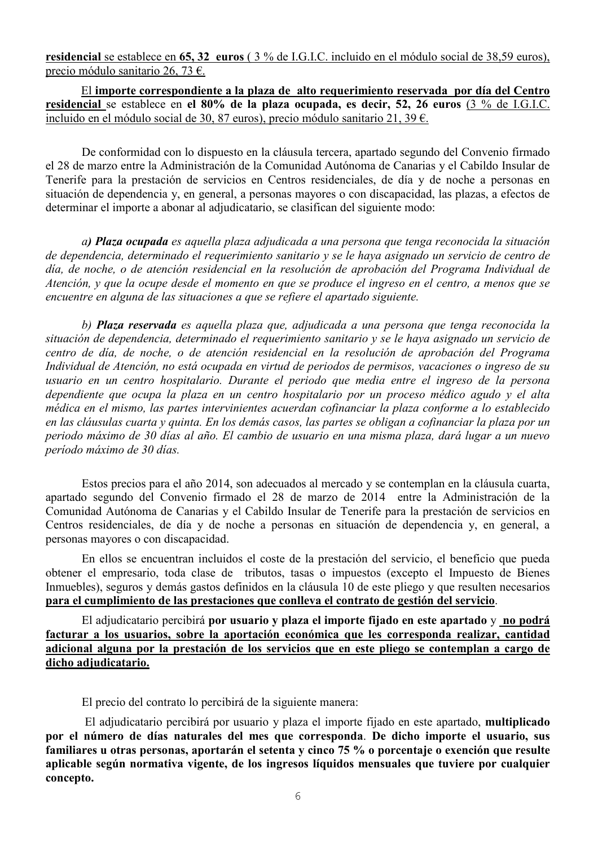residencial se establece en 65, 32 euros (3 % de I.G.I.C. incluido en el módulo social de 38,59 euros), precio módulo sanitario 26, 73 €.

El importe correspondiente a la plaza de alto requerimiento reservada por día del Centro residencial se establece en el 80% de la plaza ocupada, es decir, 52, 26 euros (3 % de I.G.I.C. incluido en el módulo social de 30, 87 euros), precio módulo sanitario 21, 39  $\epsilon$ .

De conformidad con lo dispuesto en la cláusula tercera, apartado segundo del Convenio firmado el 28 de marzo entre la Administración de la Comunidad Autónoma de Canarias y el Cabildo Insular de Tenerife para la prestación de servicios en Centros residenciales, de día y de noche a personas en situación de dependencia y, en general, a personas mayores o con discapacidad, las plazas, a efectos de determinar el importe a abonar al adjudicatario, se clasifican del siguiente modo:

a) Plaza ocupada es aquella plaza adjudicada a una persona que tenga reconocida la situación de dependencia, determinado el requerimiento sanitario y se le haya asignado un servicio de centro de día, de noche, o de atención residencial en la resolución de aprobación del Programa Individual de Atención, y que la ocupe desde el momento en que se produce el ingreso en el centro, a menos que se encuentre en alguna de las situaciones a que se refiere el apartado siguiente.

b) Plaza reservada es aquella plaza que, adjudicada a una persona que tenga reconocida la situación de dependencia, determinado el requerimiento sanitario y se le haya asignado un servicio de centro de día, de noche, o de atención residencial en la resolución de aprobación del Programa Individual de Atención, no está ocupada en virtud de periodos de permisos, vacaciones o ingreso de su usuario en un centro hospitalario. Durante el periodo que media entre el ingreso de la persona dependiente que ocupa la plaza en un centro hospitalario por un proceso médico agudo y el alta médica en el mismo, las partes intervinientes acuerdan cofinanciar la plaza conforme a lo establecido en las cláusulas cuarta y quinta. En los demás casos, las partes se obligan a cofinanciar la plaza por un periodo máximo de 30 días al año. El cambio de usuario en una misma plaza, dará lugar a un nuevo período máximo de 30 días.

Estos precios para el año 2014, son adecuados al mercado y se contemplan en la cláusula cuarta, apartado segundo del Convenio firmado el 28 de marzo de 2014 entre la Administración de la Comunidad Autónoma de Canarias y el Cabildo Insular de Tenerife para la prestación de servicios en Centros residenciales, de día y de noche a personas en situación de dependencia y, en general, a personas mayores o con discapacidad.

En ellos se encuentran incluidos el coste de la prestación del servicio, el beneficio que pueda obtener el empresario, toda clase de tributos, tasas o impuestos (excepto el Impuesto de Bienes Inmuebles), seguros y demás gastos definidos en la cláusula 10 de este pliego y que resulten necesarios para el cumplimiento de las prestaciones que conlleva el contrato de gestión del servicio.

El adjudicatario percibirá por usuario y plaza el importe fijado en este apartado y no podrá facturar a los usuarios, sobre la aportación económica que les corresponda realizar, cantidad adicional alguna por la prestación de los servicios que en este pliego se contemplan a cargo de dicho adjudicatario.

El precio del contrato lo percibirá de la siguiente manera:

El adjudicatario percibirá por usuario y plaza el importe fijado en este apartado, multiplicado por el número de días naturales del mes que corresponda. De dicho importe el usuario, sus familiares u otras personas, aportarán el setenta y cinco 75 % o porcentaje o exención que resulte aplicable según normativa vigente, de los ingresos líquidos mensuales que tuviere por cualquier concepto.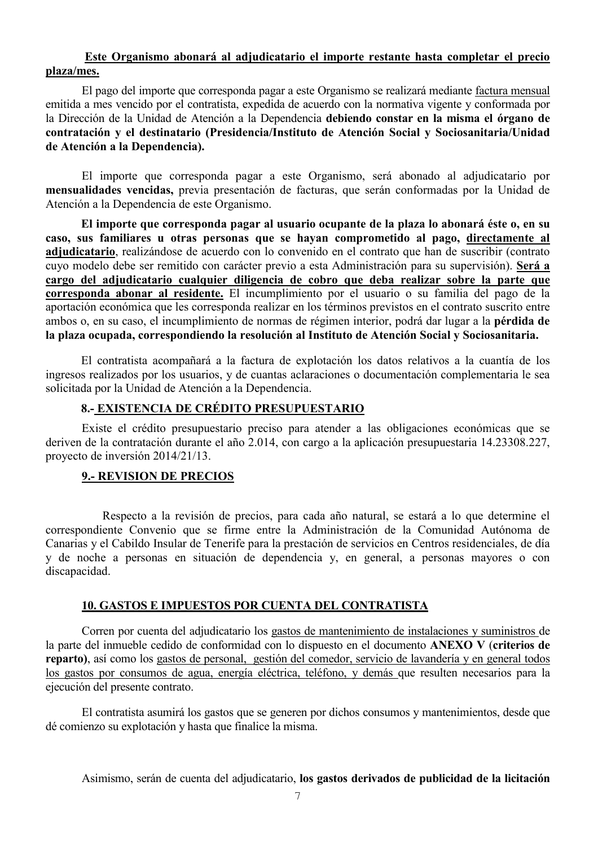## Este Organismo abonará al adjudicatario el importe restante hasta completar el precio plaza/mes.

El pago del importe que corresponda pagar a este Organismo se realizará mediante factura mensual emitida a mes vencido por el contratista, expedida de acuerdo con la normativa vigente y conformada por la Dirección de la Unidad de Atención a la Dependencia debiendo constar en la misma el órgano de contratación y el destinatario (Presidencia/Instituto de Atención Social y Sociosanitaria/Unidad de Atención a la Dependencia).

El importe que corresponda pagar a este Organismo, será abonado al adjudicatario por mensualidades vencidas, previa presentación de facturas, que serán conformadas por la Unidad de Atención a la Dependencia de este Organismo.

El importe que corresponda pagar al usuario ocupante de la plaza lo abonará éste o, en su caso, sus familiares u otras personas que se hayan comprometido al pago, directamente al adjudicatario, realizándose de acuerdo con lo convenido en el contrato que han de suscribir (contrato cuvo modelo debe ser remitido con carácter previo a esta Administración para su supervisión). Será a cargo del adjudicatario cualquier diligencia de cobro que deba realizar sobre la parte que corresponda abonar al residente. El incumplimiento por el usuario o su familia del pago de la aportación económica que les corresponda realizar en los términos previstos en el contrato suscrito entre ambos o, en su caso, el incumplimiento de normas de régimen interior, podrá dar lugar a la **pérdida de** la plaza ocupada, correspondiendo la resolución al Instituto de Atención Social y Sociosanitaria.

El contratista acompañará a la factura de explotación los datos relativos a la cuantía de los ingresos realizados por los usuarios, y de cuantas aclaraciones o documentación complementaria le sea solicitada por la Unidad de Atención a la Dependencia.

### 8.- EXISTENCIA DE CRÉDITO PRESUPUESTARIO

Existe el crédito presupuestario preciso para atender a las obligaciones económicas que se deriven de la contratación durante el año 2.014, con cargo a la aplicación presupuestaria 14.23308.227, proyecto de inversión 2014/21/13.

#### **9.- REVISION DE PRECIOS**

Respecto a la revisión de precios, para cada año natural, se estará a lo que determine el correspondiente Convenio que se firme entre la Administración de la Comunidad Autónoma de Canarias y el Cabildo Insular de Tenerife para la prestación de servicios en Centros residenciales, de día y de noche a personas en situación de dependencia y, en general, a personas mayores o con discapacidad.

#### 10. GASTOS E IMPUESTOS POR CUENTA DEL CONTRATISTA

Corren por cuenta del adjudicatario los gastos de mantenimiento de instalaciones y suministros de la parte del inmueble cedido de conformidad con lo dispuesto en el documento ANEXO V (criterios de reparto), así como los gastos de personal, gestión del comedor, servicio de lavandería y en general todos los gastos por consumos de agua, energía eléctrica, teléfono, y demás que resulten necesarios para la ejecución del presente contrato.

El contratista asumirá los gastos que se generen por dichos consumos y mantenimientos, desde que dé comienzo su explotación y hasta que finalice la misma.

Asimismo, serán de cuenta del adiudicatario. los gastos derivados de publicidad de la licitación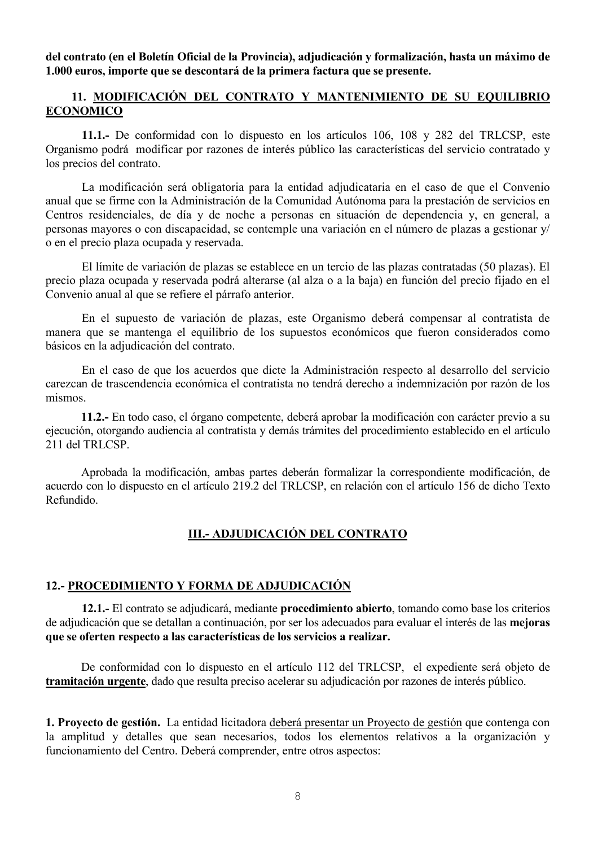del contrato (en el Boletín Oficial de la Provincia), adjudicación y formalización, hasta un máximo de 1.000 euros, importe que se descontará de la primera factura que se presente.

### 11. MODIFICACIÓN DEL CONTRATO Y MANTENIMIENTO DE SU EQUILIBRIO **ECONOMICO**

11.1.- De conformidad con lo dispuesto en los artículos 106, 108 y 282 del TRLCSP, este Organismo podrá modificar por razones de interés público las características del servicio contratado y los precios del contrato.

La modificación será obligatoria para la entidad adjudicataria en el caso de que el Convenio anual que se firme con la Administración de la Comunidad Autónoma para la prestación de servicios en Centros residenciales, de día y de noche a personas en situación de dependencia y, en general, a personas mayores o con discapacidad, se contemple una variación en el número de plazas a gestionar y/ o en el precio plaza ocupada y reservada.

El límite de variación de plazas se establece en un tercio de las plazas contratadas (50 plazas). El precio plaza ocupada y reservada podrá alterarse (al alza o a la baja) en función del precio fijado en el Convenio anual al que se refiere el párrafo anterior.

En el supuesto de variación de plazas, este Organismo deberá compensar al contratista de manera que se mantenga el equilibrio de los supuestos económicos que fueron considerados como básicos en la adjudicación del contrato.

En el caso de que los acuerdos que dicte la Administración respecto al desarrollo del servicio carezcan de trascendencia económica el contratista no tendrá derecho a indemnización por razón de los mismos.

11.2.- En todo caso, el órgano competente, deberá aprobar la modificación con carácter previo a su ejecución, otorgando audiencia al contratista y demás trámites del procedimiento establecido en el artículo 211 del TRLCSP.

Aprobada la modificación, ambas partes deberán formalizar la correspondiente modificación, de acuerdo con lo dispuesto en el artículo 219.2 del TRLCSP, en relación con el artículo 156 de dicho Texto Refundido.

## III.- ADJUDICACIÓN DEL CONTRATO

#### 12.- PROCEDIMIENTO Y FORMA DE ADJUDICACIÓN

12.1.- El contrato se adjudicará, mediante procedimiento abierto, tomando como base los criterios de adjudicación que se detallan a continuación, por ser los adecuados para evaluar el interés de las mejoras que se oferten respecto a las características de los servicios a realizar.

De conformidad con lo dispuesto en el artículo 112 del TRLCSP, el expediente será objeto de tramitación urgente, dado que resulta preciso acelerar su adjudicación por razones de interés público.

1. Provecto de gestión. La entidad licitadora deberá presentar un Proyecto de gestión que contenga con la amplitud y detalles que sean necesarios, todos los elementos relativos a la organización y funcionamiento del Centro. Deberá comprender, entre otros aspectos: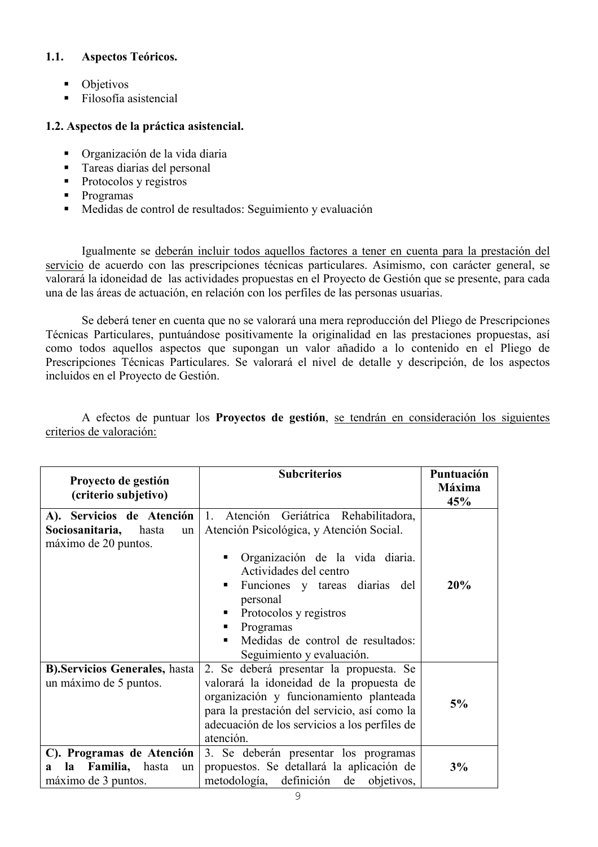#### $1.1.$ **Aspectos Teóricos.**

- Objetivos
- Filosofía asistencial

## 1.2. Aspectos de la práctica asistencial.

- Organización de la vida diaria  $\blacksquare$
- Tareas diarias del personal
- $\blacksquare$  Protocolos y registros
- Programas
- Medidas de control de resultados: Seguimiento y evaluación  $\blacksquare$

Igualmente se deberán incluir todos aquellos factores a tener en cuenta para la prestación del servicio de acuerdo con las prescripciones técnicas particulares. Asimismo, con carácter general, se valorará la idoneidad de las actividades propuestas en el Proyecto de Gestión que se presente, para cada una de las áreas de actuación, en relación con los perfiles de las personas usuarias.

Se deberá tener en cuenta que no se valorará una mera reproducción del Pliego de Prescripciones Técnicas Particulares, puntuándose positivamente la originalidad en las prestaciones propuestas, así como todos aquellos aspectos que supongan un valor añadido a lo contenido en el Pliego de Prescripciones Técnicas Particulares. Se valorará el nivel de detalle y descripción, de los aspectos incluidos en el Provecto de Gestión.

A efectos de puntuar los Proyectos de gestión, se tendrán en consideración los siguientes criterios de valoración:

| Proyecto de gestión<br>(criterio subjetivo)                                                            | <b>Subcriterios</b>                                                                                                                                                                                                                                                                                                              | Puntuación<br>Máxima<br>45% |
|--------------------------------------------------------------------------------------------------------|----------------------------------------------------------------------------------------------------------------------------------------------------------------------------------------------------------------------------------------------------------------------------------------------------------------------------------|-----------------------------|
| A). Servicios de Atención<br>Sociosanitaria,<br>hasta<br>un<br>máximo de 20 puntos.                    | Atención<br>Geriátrica Rehabilitadora,<br>1.<br>Atención Psicológica, y Atención Social.<br>Organización de la vida diaria.<br>٠<br>Actividades del centro<br>Funciones y tareas diarias del<br>personal<br>Protocolos y registros<br>ш<br>Programas<br>٠<br>Medidas de control de resultados:<br>٠<br>Seguimiento y evaluación. | 20%                         |
| <b>B). Servicios Generales, hasta</b><br>un máximo de 5 puntos.                                        | 2. Se deberá presentar la propuesta. Se<br>valorará la idoneidad de la propuesta de<br>organización y funcionamiento planteada<br>para la prestación del servicio, así como la<br>adecuación de los servicios a los perfiles de<br>atención.                                                                                     | 5%                          |
| C). Programas de Atención<br><b>Familia</b> , hasta<br>la<br>$\mathbf{a}$<br>un<br>máximo de 3 puntos. | 3. Se deberán presentar los programas<br>propuestos. Se detallará la aplicación de<br>metodología, definición de objetivos,                                                                                                                                                                                                      | 3%                          |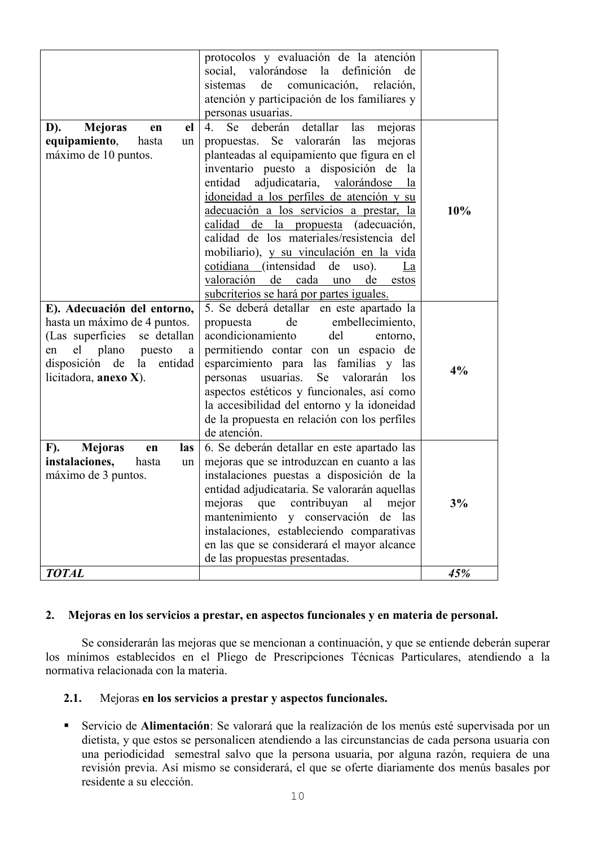|                                      | protocolos y evaluación de la atención               |     |
|--------------------------------------|------------------------------------------------------|-----|
|                                      | definición<br>social, valorándose la<br>de           |     |
|                                      | sistemas<br>de<br>comunicación,<br>relación,         |     |
|                                      | atención y participación de los familiares y         |     |
|                                      | personas usuarias.                                   |     |
| D).<br><b>Mejoras</b><br>el<br>en    | detallar<br>Se<br>deberán<br>4.<br>las<br>mejoras    |     |
| equipamiento,<br>hasta<br>un         | propuestas. Se valorarán<br>las<br>mejoras           |     |
| máximo de 10 puntos.                 | planteadas al equipamiento que figura en el          |     |
|                                      | inventario puesto a disposición de la                |     |
|                                      | adjudicataria, valorándose<br>entidad<br>la          |     |
|                                      | idoneidad a los perfiles de atención y su            |     |
|                                      | adecuación a los servicios a prestar, la             | 10% |
|                                      | calidad de la propuesta (adecuación,                 |     |
|                                      | calidad de los materiales/resistencia del            |     |
|                                      | mobiliario), y su vinculación en la vida             |     |
|                                      | cotidiana (intensidad<br>de<br>$\text{uso}$ ).<br>La |     |
|                                      | valoración de cada uno<br>de estos                   |     |
|                                      | subcriterios se hará por partes iguales.             |     |
| E). Adecuación del entorno,          | 5. Se deberá detallar en este apartado la            |     |
| hasta un máximo de 4 puntos.         | de<br>embellecimiento,<br>propuesta                  |     |
| (Las superficies se detallan         | acondicionamiento<br>del<br>entorno,                 |     |
| el plano<br>puesto<br>en<br>$\rm{a}$ | permitiendo contar con un espacio de                 |     |
| disposición de<br>entidad<br>la      | esparcimiento para las<br>familias y<br>las          |     |
| licitadora, anexo X).                | Se valorarán<br>usuarias.<br>personas<br>los         | 4%  |
|                                      | aspectos estéticos y funcionales, así como           |     |
|                                      | la accesibilidad del entorno y la idoneidad          |     |
|                                      | de la propuesta en relación con los perfiles         |     |
|                                      | de atención.                                         |     |
| F).<br><b>Mejoras</b><br>las<br>en   | 6. Se deberán detallar en este apartado las          |     |
| instalaciones,<br>hasta<br>un        | mejoras que se introduzcan en cuanto a las           |     |
| máximo de 3 puntos.                  | instalaciones puestas a disposición de la            |     |
|                                      | entidad adjudicataria. Se valorarán aquellas         |     |
|                                      | contribuyan<br>mejoras<br>mejor<br>que<br>al         | 3%  |
|                                      | mantenimiento<br>y conservación<br>de<br>las         |     |
|                                      | instalaciones, estableciendo comparativas            |     |
|                                      | en las que se considerará el mayor alcance           |     |
|                                      | de las propuestas presentadas.                       |     |
| <b>TOTAL</b>                         |                                                      | 45% |
|                                      |                                                      |     |

#### $2.$ Mejoras en los servicios a prestar, en aspectos funcionales y en materia de personal.

Se considerarán las mejoras que se mencionan a continuación, y que se entiende deberán superar los mínimos establecidos en el Pliego de Prescripciones Técnicas Particulares, atendiendo a la normativa relacionada con la materia

#### $2.1.$ Mejoras en los servicios a prestar y aspectos funcionales.

Servicio de Alimentación: Se valorará que la realización de los menús esté supervisada por un  $\mathbf{E}^{(1)}$ dietista, y que estos se personalicen atendiendo a las circunstancias de cada persona usuaria con una periodicidad semestral salvo que la persona usuaria, por alguna razón, requiera de una revisión previa. Así mismo se considerará, el que se oferte diariamente dos menús basales por residente a su elección.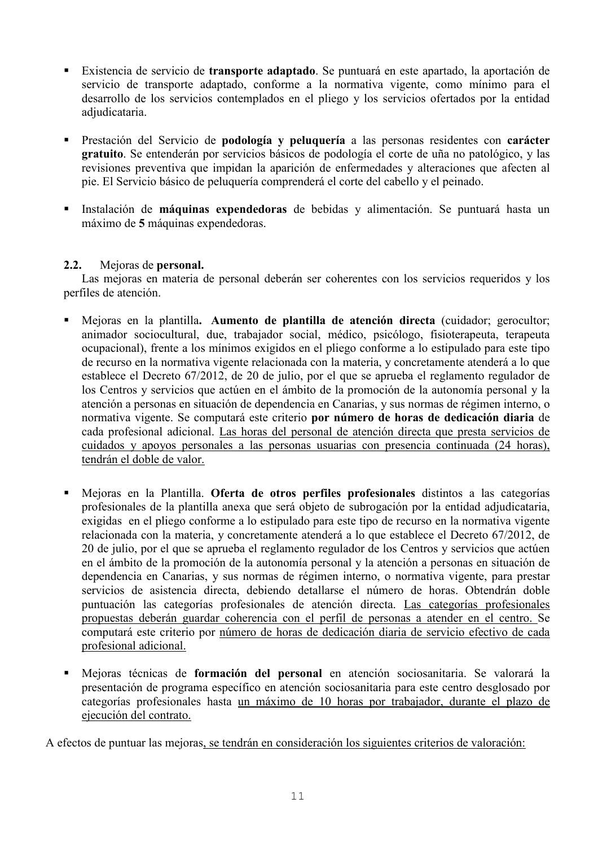- Existencia de servicio de **transporte adaptado**. Se puntuará en este apartado, la aportación de servicio de transporte adaptado, conforme a la normativa vigente, como mínimo para el desarrollo de los servicios contemplados en el pliego y los servicios ofertados por la entidad adjudicataria.
- Prestación del Servicio de podología y peluquería a las personas residentes con carácter gratuito. Se entenderán por servicios básicos de podología el corte de uña no patológico, y las revisiones preventiva que impidan la aparición de enfermedades y alteraciones que afecten al pie. El Servicio básico de peluguería comprenderá el corte del cabello y el peinado.
- Instalación de máquinas expendedoras de bebidas y alimentación. Se puntuará hasta un máximo de 5 máquinas expendedoras.

#### $2.2.$ Mejoras de **personal.**

Las mejoras en materia de personal deberán ser coherentes con los servicios requeridos y los perfiles de atención.

- Mejoras en la plantilla. Aumento de plantilla de atención directa (cuidador; gerocultor; animador sociocultural, due, trabajador social, médico, psicólogo, fisioterapeuta, terapeuta ocupacional), frente a los mínimos exigidos en el pliego conforme a lo estipulado para este tipo de recurso en la normativa vigente relacionada con la materia, y concretamente atenderá a lo que establece el Decreto 67/2012, de 20 de julio, por el que se aprueba el reglamento regulador de los Centros y servicios que actúen en el ámbito de la promoción de la autonomía personal y la atención a personas en situación de dependencia en Canarias, y sus normas de régimen interno, o normativa vigente. Se computará este criterio por número de horas de dedicación diaria de cada profesional adicional. Las horas del personal de atención directa que presta servicios de cuidados y apoyos personales a las personas usuarias con presencia continuada (24 horas), tendrán el doble de valor.
- Mejoras en la Plantilla. Oferta de otros perfiles profesionales distintos a las categorías profesionales de la plantilla anexa que será objeto de subrogación por la entidad adjudicataria, exigidas en el pliego conforme a lo estipulado para este tipo de recurso en la normativa vigente relacionada con la materia, y concretamente atenderá a lo que establece el Decreto 67/2012, de 20 de julio, por el que se aprueba el reglamento regulador de los Centros y servicios que actúen en el ámbito de la promoción de la autonomía personal y la atención a personas en situación de dependencia en Canarias, y sus normas de régimen interno, o normativa vigente, para prestar servicios de asistencia directa, debiendo detallarse el número de horas. Obtendrán doble puntuación las categorías profesionales de atención directa. Las categorías profesionales propuestas deberán guardar coherencia con el perfil de personas a atender en el centro. Se computará este criterio por número de horas de dedicación diaria de servicio efectivo de cada profesional adicional.
- Mejoras técnicas de formación del personal en atención sociosanitaria. Se valorará la  $\blacksquare$ presentación de programa específico en atención sociosanitaria para este centro desglosado por categorías profesionales hasta un máximo de 10 horas por trabajador, durante el plazo de ejecución del contrato.

A efectos de puntuar las mejoras, se tendrán en consideración los siguientes criterios de valoración: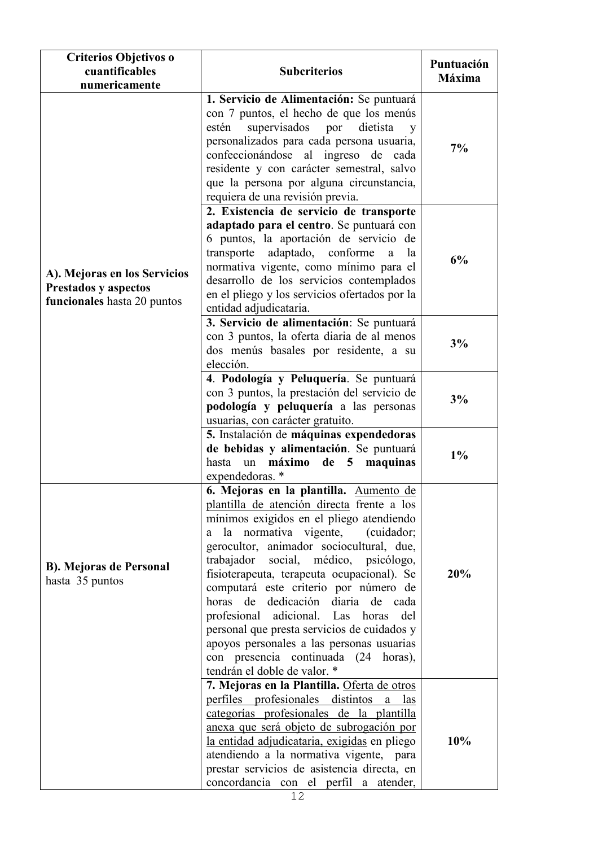| Criterios Objetivos o<br>cuantificables<br>numericamente                                   | <b>Subcriterios</b>                                                                                                                                                                                                                                                                                                                                                                                                                                                                                                                                                                                                 | Puntuación<br><b>Máxima</b> |
|--------------------------------------------------------------------------------------------|---------------------------------------------------------------------------------------------------------------------------------------------------------------------------------------------------------------------------------------------------------------------------------------------------------------------------------------------------------------------------------------------------------------------------------------------------------------------------------------------------------------------------------------------------------------------------------------------------------------------|-----------------------------|
|                                                                                            | 1. Servicio de Alimentación: Se puntuará<br>con 7 puntos, el hecho de que los menús<br>estén<br>supervisados<br>por<br>dietista<br>$\mathbf{V}$<br>personalizados para cada persona usuaria,<br>confeccionándose al ingreso de cada<br>residente y con carácter semestral, salvo<br>que la persona por alguna circunstancia,<br>requiera de una revisión previa.                                                                                                                                                                                                                                                    | 7%                          |
| A). Mejoras en los Servicios<br><b>Prestados y aspectos</b><br>funcionales hasta 20 puntos | 2. Existencia de servicio de transporte<br>adaptado para el centro. Se puntuará con<br>6 puntos, la aportación de servicio de<br>adaptado, conforme<br>transporte<br>la<br>$\mathbf{a}$<br>normativa vigente, como mínimo para el<br>desarrollo de los servicios contemplados<br>en el pliego y los servicios ofertados por la<br>entidad adjudicataria.                                                                                                                                                                                                                                                            | 6%                          |
|                                                                                            | 3. Servicio de alimentación: Se puntuará<br>con 3 puntos, la oferta diaria de al menos<br>dos menús basales por residente, a su<br>elección.                                                                                                                                                                                                                                                                                                                                                                                                                                                                        | 3%                          |
|                                                                                            | 4. Podología y Peluquería. Se puntuará<br>con 3 puntos, la prestación del servicio de<br>podología y peluquería a las personas<br>usuarias, con carácter gratuito.                                                                                                                                                                                                                                                                                                                                                                                                                                                  | 3%                          |
|                                                                                            | 5. Instalación de máquinas expendedoras<br>de bebidas y alimentación. Se puntuará<br>hasta un máximo de 5 maquinas<br>expendedoras. *                                                                                                                                                                                                                                                                                                                                                                                                                                                                               | $1\%$                       |
| <b>B). Mejoras de Personal</b><br>hasta 35 puntos                                          | 6. Mejoras en la plantilla. Aumento de<br>plantilla de atención directa frente a los<br>mínimos exigidos en el pliego atendiendo<br>la normativa vigente,<br>(cuidador;<br>a<br>gerocultor, animador sociocultural, due,<br>social, médico, psicólogo,<br>trabajador<br>fisioterapeuta, terapeuta ocupacional). Se<br>computará este criterio por número de<br>horas de dedicación diaria de<br>cada<br>del<br>profesional adicional. Las horas<br>personal que presta servicios de cuidados y<br>apoyos personales a las personas usuarias<br>con presencia continuada (24 horas),<br>tendrán el doble de valor. * | 20%                         |
|                                                                                            | 7. Mejoras en la Plantilla. Oferta de otros<br>perfiles profesionales distintos<br>a las<br>categorías profesionales de la plantilla<br>anexa que será objeto de subrogación por<br>la entidad adjudicataria, exigidas en pliego<br>atendiendo a la normativa vigente, para<br>prestar servicios de asistencia directa, en<br>concordancia con el perfil a atender,                                                                                                                                                                                                                                                 | 10%                         |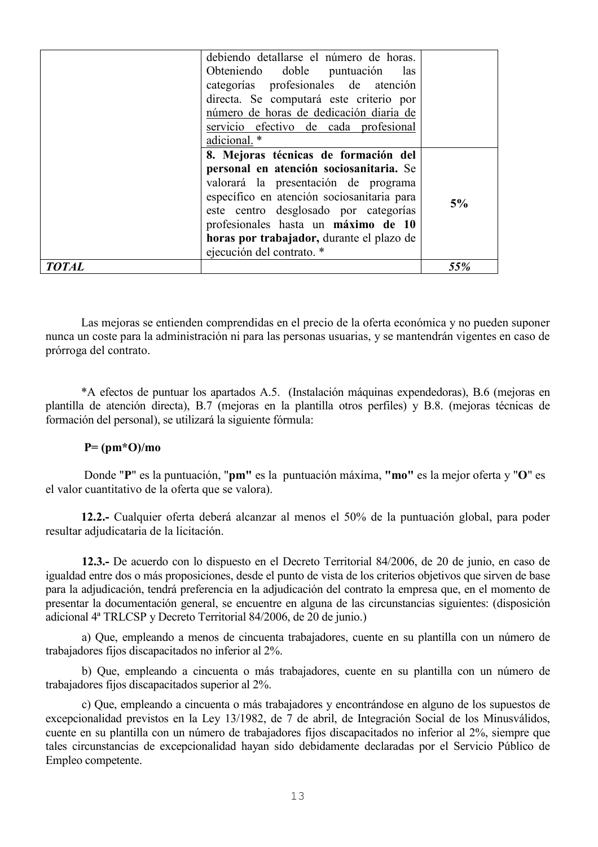|                                      | debiendo detallarse el número de horas.    |     |
|--------------------------------------|--------------------------------------------|-----|
|                                      | Obteniendo doble puntuación<br>las         |     |
|                                      | categorías profesionales de atención       |     |
|                                      | directa. Se computará este criterio por    |     |
|                                      | número de horas de dedicación diaria de    |     |
|                                      | servicio efectivo de cada profesional      |     |
|                                      | adicional. *                               |     |
| 8. Mejoras técnicas de formación del |                                            |     |
|                                      | personal en atención sociosanitaria. Se    |     |
|                                      | valorará la presentación de programa       |     |
|                                      | específico en atención sociosanitaria para | 5%  |
|                                      | este centro desglosado por categorías      |     |
|                                      | profesionales hasta un máximo de 10        |     |
|                                      | horas por trabajador, durante el plazo de  |     |
|                                      | ejecución del contrato. *                  |     |
| <b>TOTAL</b>                         |                                            | 55% |

Las mejoras se entienden comprendidas en el precio de la oferta económica y no pueden suponer nunca un coste para la administración ni para las personas usuarias, y se mantendrán vigentes en caso de prórroga del contrato.

\*A efectos de puntuar los apartados A.5. (Instalación máquinas expendedoras), B.6 (mejoras en plantilla de atención directa). B.7 (mejoras en la plantilla otros perfiles) y B.8, (mejoras técnicas de formación del personal), se utilizará la siguiente fórmula:

#### $P = (pm*O)/mo$

Donde "P" es la puntuación, "pm" es la puntuación máxima, "mo" es la mejor oferta y "O" es el valor cuantitativo de la oferta que se valora).

12.2.- Cualquier oferta deberá alcanzar al menos el 50% de la puntuación global, para poder resultar adjudicataria de la licitación.

12.3.- De acuerdo con lo dispuesto en el Decreto Territorial 84/2006, de 20 de junio, en caso de igualdad entre dos o más proposiciones, desde el punto de vista de los criterios objetivos que sirven de base para la adjudicación, tendrá preferencia en la adjudicación del contrato la empresa que, en el momento de presentar la documentación general, se encuentre en alguna de las circunstancias siguientes: (disposición adicional 4ª TRLCSP y Decreto Territorial 84/2006, de 20 de junio.)

a) Que, empleando a menos de cincuenta trabajadores, cuente en su plantilla con un número de trabajadores fijos discapacitados no inferior al 2%.

b) Que, empleando a cincuenta o más trabajadores, cuente en su plantilla con un número de trabajadores fijos discapacitados superior al 2%.

c) Que, empleando a cincuenta o más trabajadores y encontrándose en alguno de los supuestos de excepcionalidad previstos en la Ley 13/1982, de 7 de abril, de Integración Social de los Minusválidos, cuente en su plantilla con un número de trabajadores fijos discapacitados no inferior al 2%, siempre que tales circunstancias de excepcionalidad hayan sido debidamente declaradas por el Servicio Público de Empleo competente.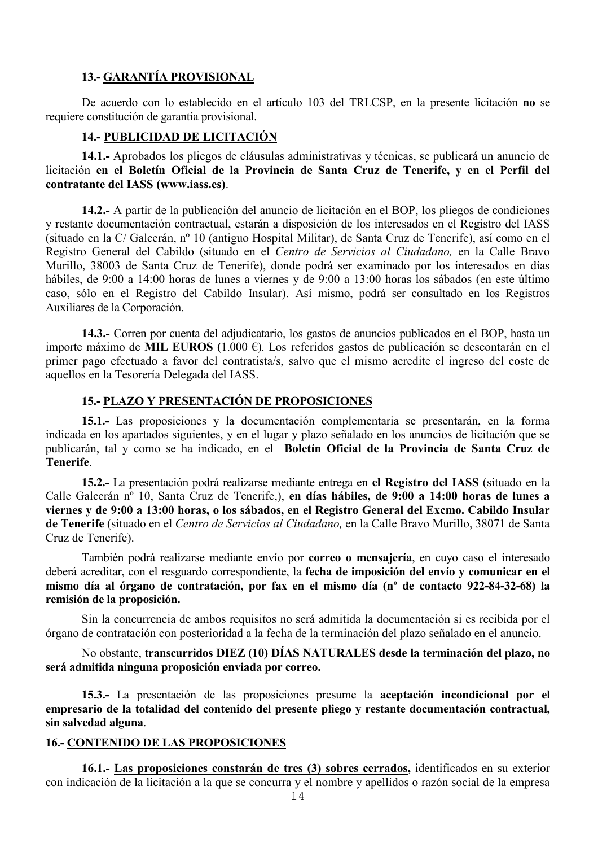### 13.- GARANTÍA PROVISIONAL

De acuerdo con lo establecido en el artículo 103 del TRLCSP, en la presente licitación no se requiere constitución de garantía provisional.

### **14.- PUBLICIDAD DE LICITACIÓN**

14.1.- Aprobados los pliegos de cláusulas administrativas y técnicas, se publicará un anuncio de licitación en el Boletín Oficial de la Provincia de Santa Cruz de Tenerife, y en el Perfil del contratante del IASS (www.iass.es).

14.2.- A partir de la publicación del anuncio de licitación en el BOP, los pliegos de condiciones y restante documentación contractual, estarán a disposición de los interesados en el Registro del IASS (situado en la C/ Galcerán, nº 10 (antiguo Hospital Militar), de Santa Cruz de Tenerife), así como en el Registro General del Cabildo (situado en el Centro de Servicios al Ciudadano, en la Calle Bravo Murillo, 38003 de Santa Cruz de Tenerife), donde podrá ser examinado por los interesados en días hábiles, de 9:00 a 14:00 horas de lunes a viernes y de 9:00 a 13:00 horas los sábados (en este último caso, sólo en el Registro del Cabildo Insular). Así mismo, podrá ser consultado en los Registros Auxiliares de la Corporación.

14.3.- Corren por cuenta del adjudicatario, los gastos de anuncios publicados en el BOP, hasta un importe máximo de MIL EUROS  $(1.000 \text{ } \epsilon)$ . Los referidos gastos de publicación se descontarán en el primer pago efectuado a favor del contratista/s, salvo que el mismo acredite el ingreso del coste de aquellos en la Tesorería Delegada del IASS.

#### 15.- PLAZO Y PRESENTACIÓN DE PROPOSICIONES

15.1.- Las proposiciones y la documentación complementaria se presentarán, en la forma indicada en los apartados siguientes, y en el lugar y plazo señalado en los anuncios de licitación que se publicarán, tal y como se ha indicado, en el Boletín Oficial de la Provincia de Santa Cruz de **Tenerife** 

15.2.- La presentación podrá realizarse mediante entrega en el Registro del IASS (situado en la Calle Galcerán nº 10, Santa Cruz de Tenerife,), en días hábiles, de 9:00 a 14:00 horas de lunes a viernes y de 9:00 a 13:00 horas, o los sábados, en el Registro General del Excmo. Cabildo Insular de Tenerife (situado en el Centro de Servicios al Ciudadano, en la Calle Bravo Murillo, 38071 de Santa Cruz de Tenerife).

También podrá realizarse mediante envío por correo o mensajería, en cuyo caso el interesado deberá acreditar, con el resguardo correspondiente, la fecha de imposición del envío y comunicar en el mismo día al órgano de contratación, por fax en el mismo día (nº de contacto 922-84-32-68) la remisión de la proposición.

Sin la concurrencia de ambos requisitos no será admitida la documentación si es recibida por el órgano de contratación con posterioridad a la fecha de la terminación del plazo señalado en el anuncio.

No obstante, transcurridos DIEZ (10) DÍAS NATURALES desde la terminación del plazo, no será admitida ninguna proposición enviada por correo.

15.3.- La presentación de las proposiciones presume la aceptación incondicional por el empresario de la totalidad del contenido del presente pliego y restante documentación contractual, sin salvedad alguna.

### **16.- CONTENIDO DE LAS PROPOSICIONES**

16.1.- Las proposiciones constarán de tres (3) sobres cerrados, identificados en su exterior con indicación de la licitación a la que se concurra y el nombre y apellidos o razón social de la empresa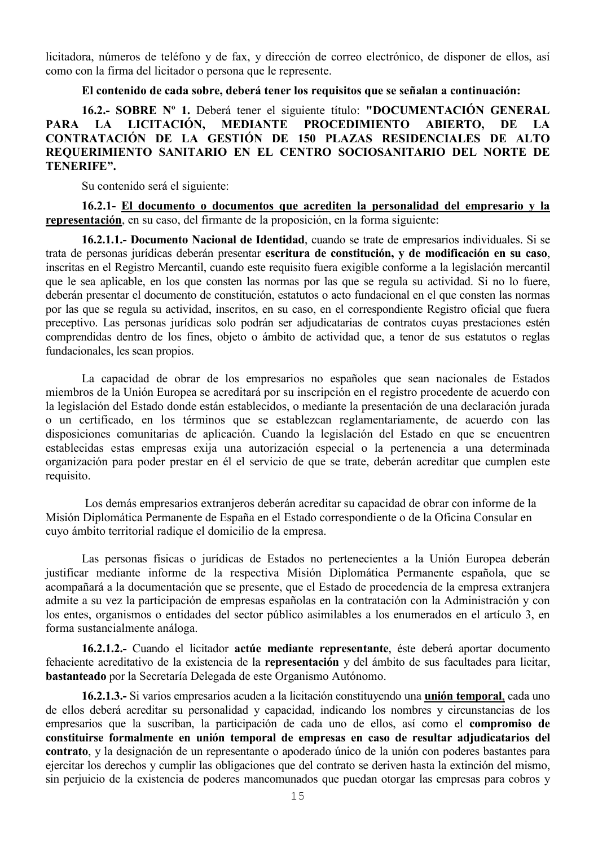licitadora, números de teléfono y de fax, y dirección de correo electrónico, de disponer de ellos, así como con la firma del licitador o persona que le represente.

El contenido de cada sobre, deberá tener los requisitos que se señalan a continuación:

16.2.- SOBRE N° 1. Deberá tener el siguiente título: "DOCUMENTACIÓN GENERAL LICITACIÓN, **PARA**  $L_{\rm A}$ **MEDIANTE PROCEDIMIENTO ABIERTO, DE**  $L_{\rm A}$ CONTRATACIÓN DE LA GESTIÓN DE 150 PLAZAS RESIDENCIALES DE ALTO REQUERIMIENTO SANITARIO EN EL CENTRO SOCIOSANITARIO DEL NORTE DE TENERIFE".

Su contenido será el siguiente:

16.2.1- El documento o documentos que acrediten la personalidad del empresario y la representación, en su caso, del firmante de la proposición, en la forma siguiente:

16.2.1.1.- Documento Nacional de Identidad, cuando se trate de empresarios individuales. Si se trata de personas jurídicas deberán presentar escritura de constitución, y de modificación en su caso, inscritas en el Registro Mercantil, cuando este requisito fuera exigible conforme a la legislación mercantil que le sea aplicable, en los que consten las normas por las que se regula su actividad. Si no lo fuere, deberán presentar el documento de constitución, estatutos o acto fundacional en el que consten las normas por las que se regula su actividad, inscritos, en su caso, en el correspondiente Registro oficial que fuera preceptivo. Las personas jurídicas solo podrán ser adjudicatarias de contratos cuyas prestaciones estén comprendidas dentro de los fines, objeto o ámbito de actividad que, a tenor de sus estatutos o reglas fundacionales, les sean propios.

La capacidad de obrar de los empresarios no españoles que sean nacionales de Estados miembros de la Unión Europea se acreditará por su inscripción en el registro procedente de acuerdo con la legislación del Estado donde están establecidos, o mediante la presentación de una declaración jurada o un certificado, en los términos que se establezcan reglamentariamente, de acuerdo con las disposiciones comunitarias de aplicación. Cuando la legislación del Estado en que se encuentren establecidas estas empresas exija una autorización especial o la pertenencia a una determinada organización para poder prestar en él el servicio de que se trate, deberán acreditar que cumplen este requisito.

Los demás empresarios extranjeros deberán acreditar su capacidad de obrar con informe de la Misión Diplomática Permanente de España en el Estado correspondiente o de la Oficina Consular en cuyo ámbito territorial radique el domicilio de la empresa.

Las personas físicas o jurídicas de Estados no pertenecientes a la Unión Europea deberán justificar mediante informe de la respectiva Misión Diplomática Permanente española, que se acompañará a la documentación que se presente, que el Estado de procedencia de la empresa extraniera admite a su vez la participación de empresas españolas en la contratación con la Administración y con los entes, organismos o entidades del sector público asimilables a los enumerados en el artículo 3, en forma sustancialmente análoga.

16.2.1.2. Cuando el licitador actúe mediante representante, éste deberá aportar documento fehaciente acreditativo de la existencia de la representación y del ámbito de sus facultades para licitar, bastanteado por la Secretaría Delegada de este Organismo Autónomo.

16.2.1.3.- Si varios empresarios acuden a la licitación constituyendo una *unión temporal*, cada uno de ellos deberá acreditar su personalidad y capacidad, indicando los nombres y circunstancias de los empresarios que la suscriban, la participación de cada uno de ellos, así como el **compromiso de** constituirse formalmente en unión temporal de empresas en caso de resultar adjudicatarios del contrato, y la designación de un representante o apoderado único de la unión con poderes bastantes para ejercitar los derechos y cumplir las obligaciones que del contrato se deriven hasta la extinción del mismo, sin periuicio de la existencia de poderes mancomunados que puedan otorgar las empresas para cobros y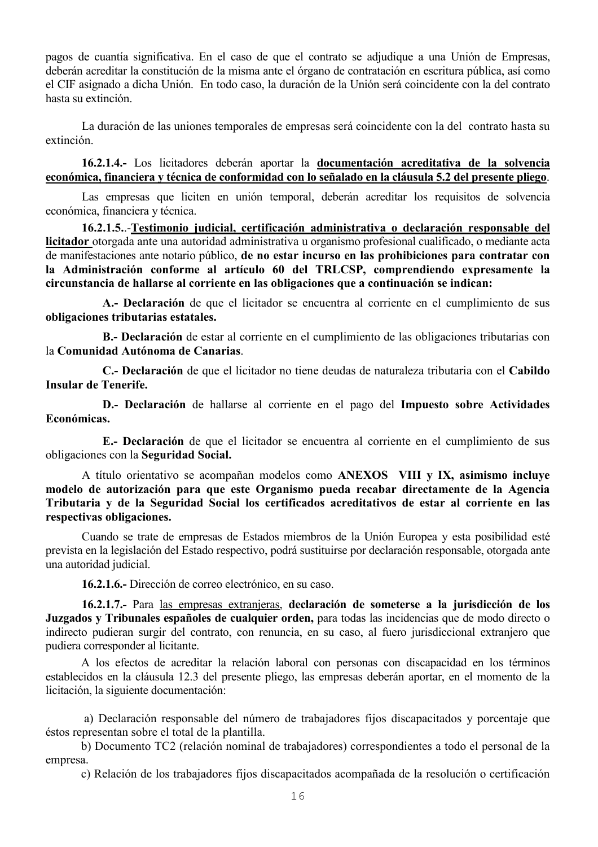pagos de cuantía significativa. En el caso de que el contrato se adjudique a una Unión de Empresas, deberán acreditar la constitución de la misma ante el órgano de contratación en escritura pública, así como el CIF asignado a dicha Unión. En todo caso, la duración de la Unión será coincidente con la del contrato hasta su extinción.

La duración de las uniones temporales de empresas será coincidente con la del contrato hasta su extinción.

16.2.1.4.- Los licitadores deberán aportar la documentación acreditativa de la solvencia económica, financiera y técnica de conformidad con lo señalado en la cláusula 5.2 del presente pliego.

Las empresas que liciten en unión temporal, deberán acreditar los requisitos de solvencia económica, financiera y técnica.

16.2.1.5. Testimonio judicial, certificación administrativa o declaración responsable del licitador otorgada ante una autoridad administrativa u organismo profesional cualificado, o mediante acta de manifestaciones ante notario público, de no estar incurso en las prohibiciones para contratar con la Administración conforme al artículo 60 del TRLCSP, comprendiendo expresamente la circunstancia de hallarse al corriente en las obligaciones que a continuación se indican:

A.- Declaración de que el licitador se encuentra al corriente en el cumplimiento de sus obligaciones tributarias estatales.

B.- Declaración de estar al corriente en el cumplimiento de las obligaciones tributarias con la Comunidad Autónoma de Canarias.

C.- Declaración de que el licitador no tiene deudas de naturaleza tributaria con el Cabildo Insular de Tenerife.

D.- Declaración de hallarse al corriente en el pago del Impuesto sobre Actividades Económicas.

E.- Declaración de que el licitador se encuentra al corriente en el cumplimiento de sus obligaciones con la Seguridad Social.

A título orientativo se acompañan modelos como ANEXOS VIII y IX, asimismo incluye modelo de autorización para que este Organismo pueda recabar directamente de la Agencia Tributaria y de la Seguridad Social los certificados acreditativos de estar al corriente en las respectivas obligaciones.

Cuando se trate de empresas de Estados miembros de la Unión Europea y esta posibilidad esté prevista en la legislación del Estado respectivo, podrá sustituirse por declaración responsable, otorgada ante una autoridad judicial.

16.2.1.6.- Dirección de correo electrónico, en su caso.

16.2.1.7.- Para las empresas extranjeras, declaración de someterse a la jurisdicción de los Juzgados y Tribunales españoles de cualquier orden, para todas las incidencias que de modo directo o indirecto pudieran surgir del contrato, con renuncia, en su caso, al fuero jurisdiccional extranjero que pudiera corresponder al licitante.

A los efectos de acreditar la relación laboral con personas con discapacidad en los términos establecidos en la cláusula 12.3 del presente pliego, las empresas deberán aportar, en el momento de la licitación, la siguiente documentación:

a) Declaración responsable del número de trabajadores fijos discapacitados y porcentaje que éstos representan sobre el total de la plantilla.

b) Documento TC2 (relación nominal de trabajadores) correspondientes a todo el personal de la empresa.

c) Relación de los trabajadores fijos discapacitados acompañada de la resolución o certificación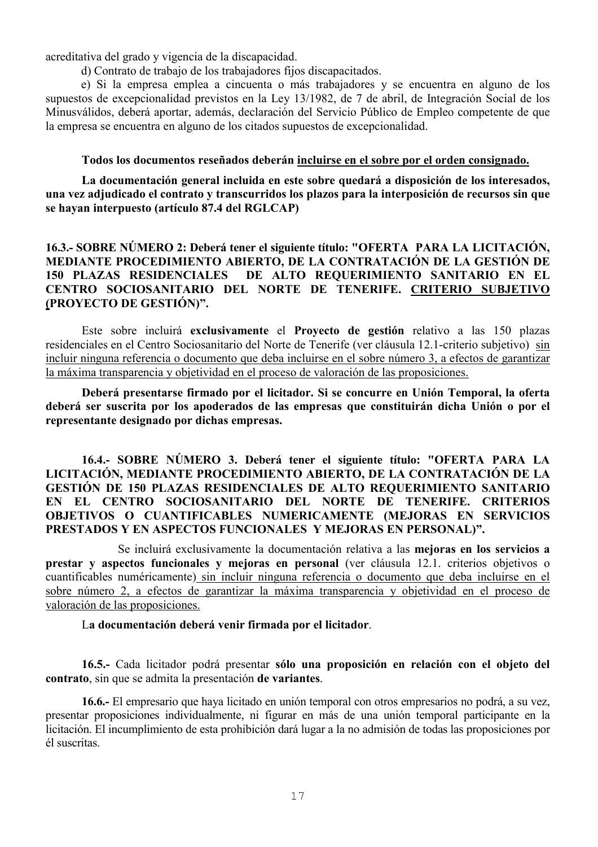acreditativa del grado y vigencia de la discapacidad.

d) Contrato de trabajo de los trabajadores fijos discapacitados.

e) Si la empresa emplea a cincuenta o más trabajadores y se encuentra en alguno de los supuestos de excepcionalidad previstos en la Ley 13/1982, de 7 de abril, de Integración Social de los Minusválidos, deberá aportar, además, declaración del Servicio Público de Empleo competente de que la empresa se encuentra en alguno de los citados supuestos de excepcionalidad.

#### Todos los documentos reseñados deberán incluirse en el sobre por el orden consignado.

La documentación general incluida en este sobre quedará a disposición de los interesados, una vez adjudicado el contrato y transcurridos los plazos para la interposición de recursos sin que se havan interpuesto (artículo 87.4 del RGLCAP)

16.3.- SOBRE NÚMERO 2: Deberá tener el siguiente título: "OFERTA PARA LA LICITACIÓN, MEDIANTE PROCEDIMIENTO ABIERTO, DE LA CONTRATACIÓN DE LA GESTIÓN DE **150 PLAZAS RESIDENCIALES** DE ALTO REQUERIMIENTO SANITARIO EN EL CENTRO SOCIOSANITARIO DEL NORTE DE TENERIFE. CRITERIO SUBJETIVO (PROYECTO DE GESTIÓN)".

Este sobre incluirá exclusivamente el Proyecto de gestión relativo a las 150 plazas residenciales en el Centro Sociosanitario del Norte de Tenerife (ver cláusula 12.1-criterio subjetivo) sin incluir ninguna referencia o documento que deba incluirse en el sobre número 3, a efectos de garantizar la máxima transparencia y objetividad en el proceso de valoración de las proposiciones.

Deberá presentarse firmado por el licitador. Si se concurre en Unión Temporal, la oferta deberá ser suscrita por los apoderados de las empresas que constituirán dicha Unión o por el representante designado por dichas empresas.

16.4.- SOBRE NÚMERO 3. Deberá tener el siguiente título: "OFERTA PARA LA LICITACIÓN, MEDIANTE PROCEDIMIENTO ABIERTO, DE LA CONTRATACIÓN DE LA **GESTIÓN DE 150 PLAZAS RESIDENCIALES DE ALTO REOUERIMIENTO SANITARIO** EN EL CENTRO SOCIOSANITARIO DEL NORTE DE TENERIFE. CRITERIOS OBJETIVOS O CUANTIFICABLES NUMERICAMENTE (MEJORAS EN SERVICIOS PRESTADOS Y EN ASPECTOS FUNCIONALES Y MEJORAS EN PERSONAL)".

Se incluirá exclusivamente la documentación relativa a las mejoras en los servicios a prestar y aspectos funcionales y mejoras en personal (ver cláusula 12.1. criterios objetivos o cuantificables numéricamente) sin incluir ninguna referencia o documento que deba incluirse en el sobre número 2, a efectos de garantizar la máxima transparencia y objetividad en el proceso de valoración de las proposiciones.

La documentación deberá venir firmada por el licitador.

16.5.- Cada licitador podrá presentar sólo una proposición en relación con el objeto del contrato, sin que se admita la presentación de variantes.

16.6.- El empresario que hava licitado en unión temporal con otros empresarios no podrá, a su vez, presentar proposiciones individualmente, ni figurar en más de una unión temporal participante en la licitación. El incumplimiento de esta prohibición dará lugar a la no admisión de todas las proposiciones por él suscritas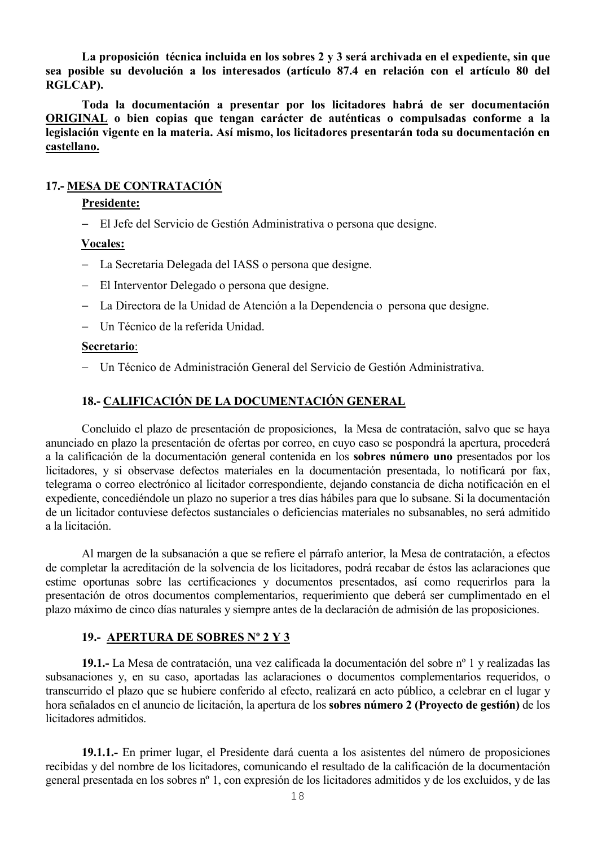La proposición técnica incluida en los sobres 2 y 3 será archivada en el expediente, sin que sea posible su devolución a los interesados (artículo 87.4 en relación con el artículo 80 del RGLCAP).

Toda la documentación a presentar por los licitadores habrá de ser documentación ORIGINAL o bien copias que tengan carácter de auténticas o compulsadas conforme a la legislación vigente en la materia. Así mismo, los licitadores presentarán toda su documentación en castellano.

### 17.- MESA DE CONTRATACIÓN

#### **Presidente:**

- El Jefe del Servicio de Gestión Administrativa o persona que designe.

#### **Vocales:**

- La Secretaria Delegada del IASS o persona que designe.
- El Interventor Delegado o persona que designe.
- La Directora de la Unidad de Atención a la Dependencia o persona que designe.
- Un Técnico de la referida Unidad.

#### Secretario:

- Un Técnico de Administración General del Servicio de Gestión Administrativa

#### 18.- CALIFICACIÓN DE LA DOCUMENTACIÓN GENERAL

Concluido el plazo de presentación de proposiciones, la Mesa de contratación, salvo que se haya anunciado en plazo la presentación de ofertas por correo, en cuyo caso se pospondrá la apertura, procederá a la calificación de la documentación general contenida en los sobres número uno presentados por los licitadores, y si observase defectos materiales en la documentación presentada, lo notificará por fax, telegrama o correo electrónico al licitador correspondiente, dejando constancia de dicha notificación en el expediente, concediéndole un plazo no superior a tres días hábiles para que lo subsane. Si la documentación de un licitador contuviese defectos sustanciales o deficiencias materiales no subsanables, no será admitido a la licitación

Al margen de la subsanación a que se refiere el párrafo anterior, la Mesa de contratación, a efectos de completar la acreditación de la solvencia de los licitadores, podrá recabar de éstos las aclaraciones que estime oportunas sobre las certificaciones y documentos presentados, así como requerirlos para la presentación de otros documentos complementarios, requerimiento que deberá ser cumplimentado en el plazo máximo de cinco días naturales y siempre antes de la declaración de admisión de las proposiciones.

#### 19.- APERTURA DE SOBRES Nº 2 Y 3

19.1.- La Mesa de contratación, una vez calificada la documentación del sobre nº 1 y realizadas las subsanaciones y, en su caso, aportadas las aclaraciones o documentos complementarios requeridos, o transcurrido el plazo que se hubiere conferido al efecto, realizará en acto público, a celebrar en el lugar y hora señalados en el anuncio de licitación, la apertura de los sobres número 2 (Provecto de gestión) de los licitadores admitidos.

19.1.1. En primer lugar, el Presidente dará cuenta a los asistentes del número de proposiciones recibidas y del nombre de los licitadores, comunicando el resultado de la calificación de la documentación general presentada en los sobres nº 1, con expresión de los licitadores admitidos y de los excluidos, y de las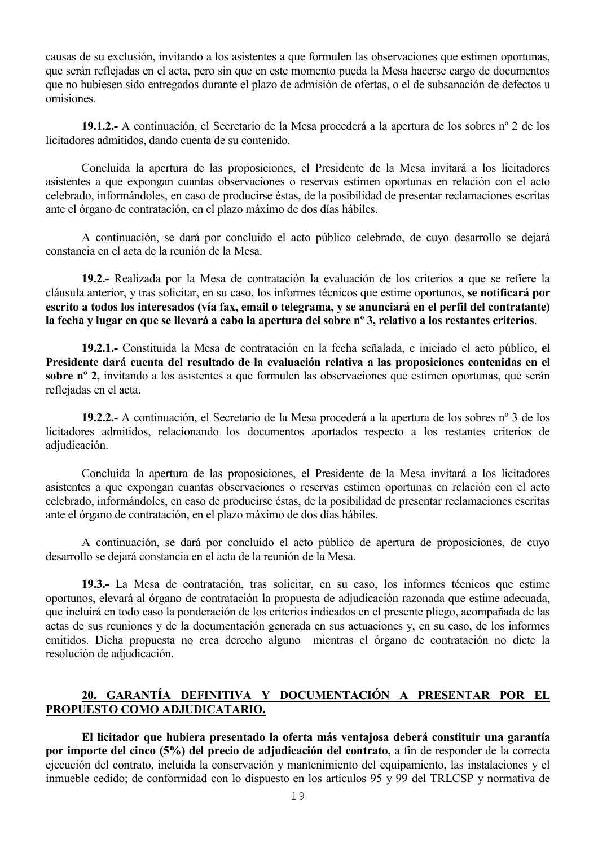causas de su exclusión, invitando a los asistentes a que formulen las observaciones que estimen oportunas, que serán reflejadas en el acta, pero sin que en este momento pueda la Mesa hacerse cargo de documentos que no hubiesen sido entregados durante el plazo de admisión de ofertas, o el de subsanación de defectos u omisiones.

19.1.2.- A continuación, el Secretario de la Mesa procederá a la apertura de los sobres nº 2 de los licitadores admitidos, dando cuenta de su contenido.

Concluida la apertura de las proposiciones, el Presidente de la Mesa invitará a los licitadores asistentes a que expongan cuantas observaciones o reservas estimen oportunas en relación con el acto celebrado, informándoles, en caso de producirse éstas, de la posibilidad de presentar reclamaciones escritas ante el órgano de contratación, en el plazo máximo de dos días hábiles.

A continuación, se dará por concluido el acto público celebrado, de cuvo desarrollo se dejará constancia en el acta de la reunión de la Mesa.

19.2.- Realizada por la Mesa de contratación la evaluación de los criterios a que se refiere la cláusula anterior, y tras solicitar, en su caso, los informes técnicos que estime oportunos, se notificará por escrito a todos los interesados (vía fax, email o telegrama, y se anunciará en el perfil del contratante) la fecha y lugar en que se llevará a cabo la apertura del sobre nº 3, relativo a los restantes criterios.

19.2.1.- Constituida la Mesa de contratación en la fecha señalada, e iniciado el acto público, el Presidente dará cuenta del resultado de la evaluación relativa a las proposiciones contenidas en el sobre nº 2, invitando a los asistentes a que formulen las observaciones que estimen oportunas, que serán reflejadas en el acta.

19.2.2.- A continuación, el Secretario de la Mesa procederá a la apertura de los sobres nº 3 de los licitadores admitidos, relacionando los documentos aportados respecto a los restantes criterios de adjudicación.

Concluida la apertura de las proposiciones, el Presidente de la Mesa invitará a los licitadores asistentes a que expongan cuantas observaciones o reservas estimen oportunas en relación con el acto celebrado, informándoles, en caso de producirse éstas, de la posibilidad de presentar reclamaciones escritas ante el órgano de contratación, en el plazo máximo de dos días hábiles.

A continuación, se dará por concluido el acto público de apertura de proposiciones, de cuyo desarrollo se dejará constancia en el acta de la reunión de la Mesa.

19.3.- La Mesa de contratación, tras solicitar, en su caso, los informes técnicos que estime oportunos, elevará al órgano de contratación la propuesta de adjudicación razonada que estime adecuada, que incluirá en todo caso la ponderación de los criterios indicados en el presente pliego, acompañada de las actas de sus reuniones y de la documentación generada en sus actuaciones y, en su caso, de los informes emitidos. Dicha propuesta no crea derecho alguno mientras el órgano de contratación no dicte la resolución de adjudicación.

## 20. GARANTÍA DEFINITIVA Y DOCUMENTACIÓN A PRESENTAR POR EL PROPUESTO COMO ADJUDICATARIO.

El licitador que hubiera presentado la oferta más ventajosa deberá constituir una garantía por importe del cinco (5%) del precio de adjudicación del contrato, a fin de responder de la correcta ejecución del contrato, incluida la conservación y mantenimiento del equipamiento, las instalaciones y el inmueble cedido; de conformidad con lo dispuesto en los artículos 95 y 99 del TRLCSP y normativa de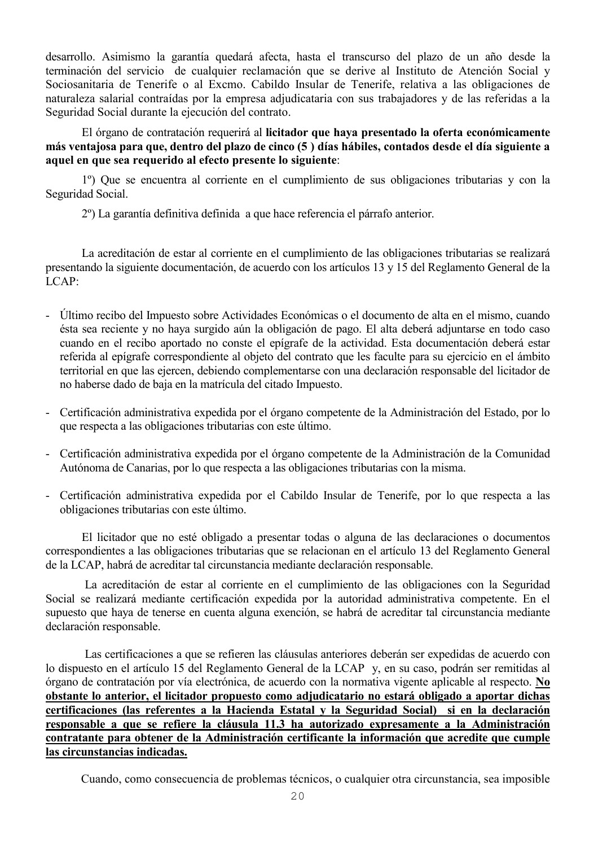desarrollo. Asimismo la garantía quedará afecta, hasta el transcurso del plazo de un año desde la terminación del servicio de cualquier reclamación que se derive al Instituto de Atención Social y Sociosanitaria de Tenerife o al Excmo. Cabildo Insular de Tenerife, relativa a las obligaciones de naturaleza salarial contraídas por la empresa adjudicataria con sus trabajadores y de las referidas a la Seguridad Social durante la ejecución del contrato.

El órgano de contratación requerirá al licitador que haya presentado la oferta económicamente más ventaiosa para que, dentro del plazo de cinco (5) días hábiles, contados desde el día siguiente a aquel en que sea requerido al efecto presente lo siguiente:

1<sup>o</sup>) Que se encuentra al corriente en el cumplimiento de sus obligaciones tributarias y con la Seguridad Social.

2°) La garantía definitiva definida a que hace referencia el párrafo anterior.

La acreditación de estar al corriente en el cumplimiento de las obligaciones tributarias se realizará presentando la siguiente documentación, de acuerdo con los artículos 13 y 15 del Reglamento General de la  $LCAP$ 

- Último recibo del Impuesto sobre Actividades Económicas o el documento de alta en el mismo, cuando ésta sea reciente y no haya surgido aún la obligación de pago. El alta deberá adjuntarse en todo caso cuando en el recibo aportado no conste el epígrafe de la actividad. Esta documentación deberá estar referida al epígrafe correspondiente al objeto del contrato que les faculte para su ejercicio en el ámbito territorial en que las ejercen, debiendo complementarse con una declaración responsable del licitador de no haberse dado de baja en la matrícula del citado Impuesto.
- Certificación administrativa expedida por el órgano competente de la Administración del Estado, por lo que respecta a las obligaciones tributarias con este último.
- Certificación administrativa expedida por el órgano competente de la Administración de la Comunidad Autónoma de Canarias, por lo que respecta a las obligaciones tributarias con la misma.
- Certificación administrativa expedida por el Cabildo Insular de Tenerife, por lo que respecta a las obligaciones tributarias con este último.

El licitador que no esté obligado a presentar todas o alguna de las declaraciones o documentos correspondientes a las obligaciones tributarias que se relacionan en el artículo 13 del Reglamento General de la LCAP, habrá de acreditar tal circunstancia mediante declaración responsable.

La acreditación de estar al corriente en el cumplimiento de las obligaciones con la Seguridad Social se realizará mediante certificación expedida por la autoridad administrativa competente. En el supuesto que haya de tenerse en cuenta alguna exención, se habrá de acreditar tal circunstancia mediante declaración responsable.

Las certificaciones a que se refieren las cláusulas anteriores deberán ser expedidas de acuerdo con lo dispuesto en el artículo 15 del Reglamento General de la LCAP y, en su caso, podrán ser remitidas al órgano de contratación por vía electrónica, de acuerdo con la normativa vigente aplicable al respecto. No obstante lo anterior, el licitador propuesto como adjudicatario no estará obligado a aportar dichas certificaciones (las referentes a la Hacienda Estatal y la Seguridad Social) si en la declaración responsable a que se refiere la cláusula 11.3 ha autorizado expresamente a la Administración contratante para obtener de la Administración certificante la información que acredite que cumple las circunstancias indicadas.

Cuando, como consecuencia de problemas técnicos, o cualquier otra circunstancia, sea imposible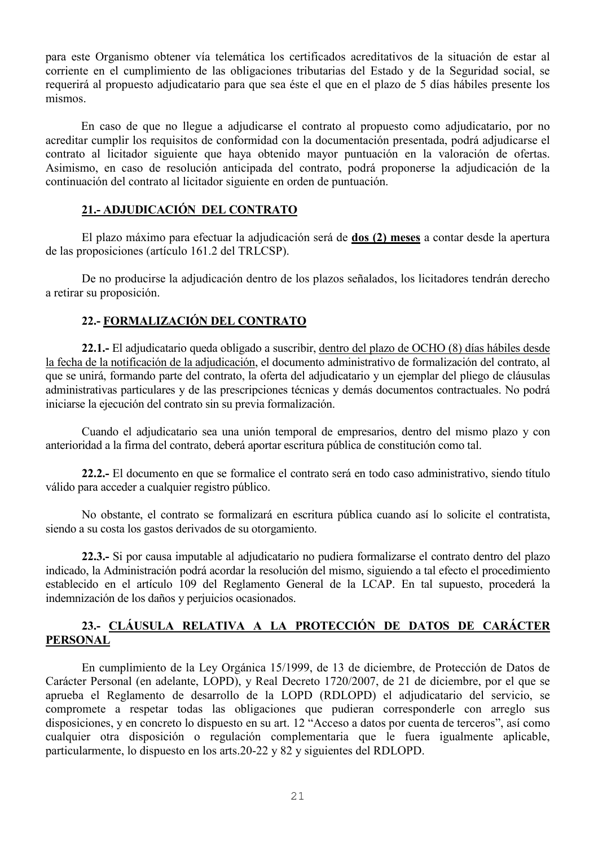para este Organismo obtener vía telemática los certificados acreditativos de la situación de estar al corriente en el cumplimiento de las obligaciones tributarias del Estado y de la Seguridad social, se requerirá al propuesto adjudicatario para que sea éste el que en el plazo de 5 días hábiles presente los mismos.

En caso de que no llegue a adjudicarse el contrato al propuesto como adjudicatario, por no acreditar cumplir los requisitos de conformidad con la documentación presentada, podrá adjudicarse el contrato al licitador siguiente que haya obtenido mayor puntuación en la valoración de ofertas. Asimismo, en caso de resolución anticipada del contrato, podrá proponerse la adjudicación de la continuación del contrato al licitador siguiente en orden de puntuación.

#### 21.- ADJUDICACIÓN DEL CONTRATO

El plazo máximo para efectuar la adjudicación será de dos (2) meses a contar desde la apertura de las proposiciones (artículo 161.2 del TRLCSP).

De no producirse la adjudicación dentro de los plazos señalados, los licitadores tendrán derecho a retirar su proposición.

## 22.- FORMALIZACIÓN DEL CONTRATO

22.1.- El adjudicatario queda obligado a suscribir, dentro del plazo de OCHO (8) días hábiles desde la fecha de la notificación de la adjudicación, el documento administrativo de formalización del contrato, al que se unirá, formando parte del contrato, la oferta del adjudicatario y un ejemplar del pliego de cláusulas administrativas particulares y de las prescripciones técnicas y demás documentos contractuales. No podrá iniciarse la ejecución del contrato sin su previa formalización.

Cuando el adjudicatario sea una unión temporal de empresarios, dentro del mismo plazo y con anterioridad a la firma del contrato, deberá aportar escritura pública de constitución como tal.

22.2.- El documento en que se formalice el contrato será en todo caso administrativo, siendo título válido para acceder a cualquier registro público.

No obstante, el contrato se formalizará en escritura pública cuando así lo solicite el contratista, siendo a su costa los gastos derivados de su otorgamiento.

22.3.- Si por causa imputable al adjudicatario no pudiera formalizarse el contrato dentro del plazo indicado, la Administración podrá acordar la resolución del mismo, siguiendo a tal efecto el procedimiento establecido en el artículo 109 del Reglamento General de la LCAP. En tal supuesto, procederá la indemnización de los daños y perjuicios ocasionados.

## 23.- CLÁUSULA RELATIVA A LA PROTECCIÓN DE DATOS DE CARÁCTER **PERSONAL**

En cumplimiento de la Ley Orgánica 15/1999, de 13 de diciembre, de Protección de Datos de Carácter Personal (en adelante, LOPD), y Real Decreto 1720/2007, de 21 de diciembre, por el que se aprueba el Reglamento de desarrollo de la LOPD (RDLOPD) el adjudicatario del servicio, se compromete a respetar todas las obligaciones que pudieran corresponderle con arreglo sus disposiciones, y en concreto lo dispuesto en su art. 12 "Acceso a datos por cuenta de terceros", así como cualquier otra disposición o regulación complementaria que le fuera igualmente aplicable, particularmente, lo dispuesto en los arts. 20-22 y 82 y siguientes del RDLOPD.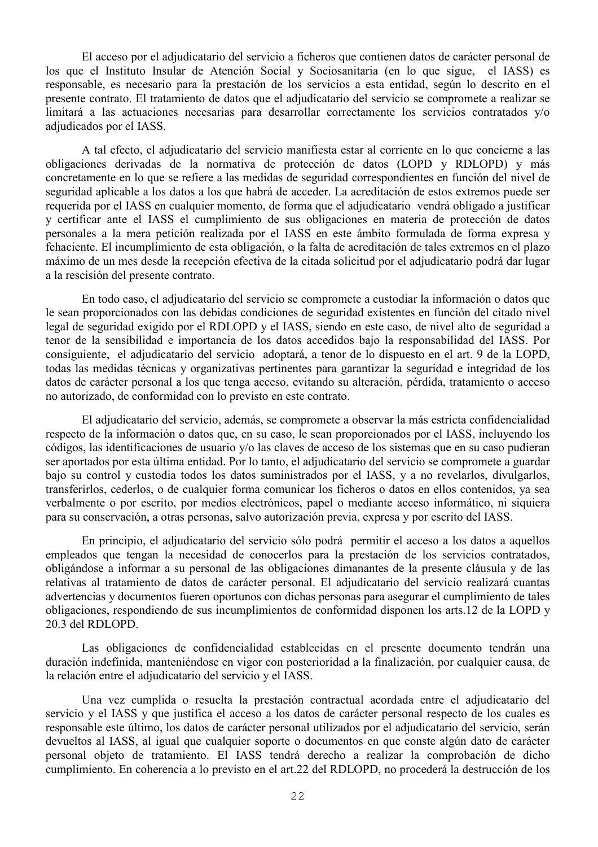El acceso por el adjudicatario del servicio a ficheros que contienen datos de carácter personal de los que el Instituto Insular de Atención Social y Sociosanitaria (en lo que sigue, el IASS) es responsable, es necesario para la prestación de los servicios a esta entidad, según lo descrito en el presente contrato. El tratamiento de datos que el adjudicatario del servicio se compromete a realizar se limitará a las actuaciones necesarias para desarrollar correctamente los servicios contratados y/o adjudicados por el IASS.

A tal efecto, el adjudicatario del servicio manifiesta estar al corriente en lo que concierne a las obligaciones derivadas de la normativa de protección de datos (LOPD y RDLOPD) y más concretamente en lo que se refiere a las medidas de seguridad correspondientes en función del nivel de seguridad aplicable a los datos a los que habrá de acceder. La acreditación de estos extremos puede ser requerida por el IASS en cualquier momento, de forma que el adiudicatario, vendrá obligado a justificar y certificar ante el IASS el cumplimiento de sus obligaciones en materia de protección de datos personales a la mera petición realizada por el IASS en este ámbito formulada de forma expresa y fehaciente. El incumplimiento de esta obligación, o la falta de acreditación de tales extremos en el plazo máximo de un mes desde la recepción efectiva de la citada solicitud por el adjudicatario podrá dar lugar a la rescisión del presente contrato.

En todo caso, el adjudicatario del servicio se compromete a custodiar la información o datos que le sean proporcionados con las debidas condiciones de seguridad existentes en función del citado nivel legal de seguridad exigido por el RDLOPD y el IASS, siendo en este caso, de nivel alto de seguridad a tenor de la sensibilidad e importancia de los datos accedidos bajo la responsabilidad del IASS. Por consiguiente, el adjudicatario del servicio adoptará, a tenor de lo dispuesto en el art. 9 de la LOPD, todas las medidas técnicas y organizativas pertinentes para garantizar la seguridad e integridad de los datos de carácter personal a los que tenga acceso, evitando su alteración, pérdida, tratamiento o acceso no autorizado, de conformidad con lo previsto en este contrato.

El adjudicatario del servicio, además, se compromete a observar la más estricta confidencialidad respecto de la información o datos que, en su caso, le sean proporcionados por el IASS, incluyendo los códigos, las identificaciones de usuario y/o las claves de acceso de los sistemas que en su caso pudieran ser aportados por esta última entidad. Por lo tanto, el adjudicatario del servicio se compromete a guardar bajo su control y custodia todos los datos suministrados por el IASS, y a no revelarlos, divulgarlos, transferirlos, cederlos, o de cualquier forma comunicar los ficheros o datos en ellos contenidos, ya sea verbalmente o por escrito, por medios electrónicos, papel o mediante acceso informático, ni siquiera para su conservación, a otras personas, salvo autorización previa, expresa y por escrito del IASS.

En principio, el adjudicatario del servicio sólo podrá permitir el acceso a los datos a aquellos empleados que tengan la necesidad de conocerlos para la prestación de los servicios contratados, obligándose a informar a su personal de las obligaciones dimanantes de la presente cláusula y de las relativas al tratamiento de datos de carácter personal. El adjudicatario del servicio realizará cuantas advertencias y documentos fueren oportunos con dichas personas para asegurar el cumplimiento de tales obligaciones, respondiendo de sus incumplimientos de conformidad disponen los arts.12 de la LOPD y 20.3 del RDLOPD.

Las obligaciones de confidencialidad establecidas en el presente documento tendrán una duración indefinida, manteniéndose en vigor con posterioridad a la finalización, por cualquier causa, de la relación entre el adjudicatario del servicio y el IASS.

Una vez cumplida o resuelta la prestación contractual acordada entre el adjudicatario del servicio y el IASS y que justifica el acceso a los datos de carácter personal respecto de los cuales es responsable este último, los datos de carácter personal utilizados por el adjudicatario del servicio, serán devueltos al IASS, al igual que cualquier soporte o documentos en que conste algún dato de carácter personal objeto de tratamiento. El IASS tendrá derecho a realizar la comprobación de dicho cumplimiento. En coherencia a lo previsto en el art.22 del RDLOPD, no procederá la destrucción de los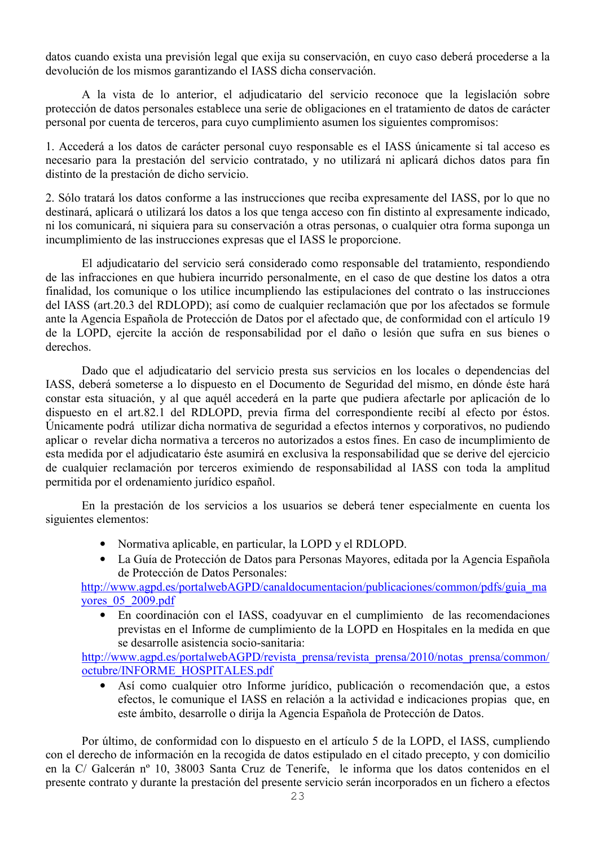datos cuando exista una previsión legal que exija su conservación, en cuyo caso deberá procederse a la devolución de los mismos garantizando el IASS dicha conservación.

A la vista de lo anterior, el adjudicatario del servicio reconoce que la legislación sobre protección de datos personales establece una serie de obligaciones en el tratamiento de datos de carácter personal por cuenta de terceros, para cuyo cumplimiento asumen los siguientes compromisos:

1. Accederá a los datos de carácter personal cuyo responsable es el IASS únicamente si tal acceso es necesario para la prestación del servicio contratado, y no utilizará ni aplicará dichos datos para fin distinto de la prestación de dicho servicio.

2. Sólo tratará los datos conforme a las instrucciones que reciba expresamente del IASS, por lo que no destinará, aplicará o utilizará los datos a los que tenga acceso con fin distinto al expresamente indicado, ni los comunicará, ni siguiera para su conservación a otras personas, o cualquier otra forma suponga un incumplimiento de las instrucciones expresas que el IASS le proporcione.

El adjudicatario del servicio será considerado como responsable del tratamiento, respondiendo de las infracciones en que hubiera incurrido personalmente, en el caso de que destine los datos a otra finalidad, los comunique o los utilice incumpliendo las estipulaciones del contrato o las instrucciones del IASS (art.20.3 del RDLOPD); así como de cualquier reclamación que por los afectados se formule ante la Agencia Española de Protección de Datos por el afectado que, de conformidad con el artículo 19 de la LOPD, ejercite la acción de responsabilidad por el daño o lesión que sufra en sus bienes o derechos.

Dado que el adjudicatario del servicio presta sus servicios en los locales o dependencias del IASS, deberá someterse a lo dispuesto en el Documento de Seguridad del mismo, en dónde éste hará constar esta situación, y al que aquél accederá en la parte que pudiera afectarle por aplicación de lo dispuesto en el art.82.1 del RDLOPD, previa firma del correspondiente recibí al efecto por éstos. Únicamente podrá utilizar dicha normativa de seguridad a efectos internos y corporativos, no pudiendo aplicar o revelar dicha normativa a terceros no autorizados a estos fines. En caso de incumplimiento de esta medida por el adjudicatario éste asumirá en exclusiva la responsabilidad que se derive del ejercicio de cualquier reclamación por terceros eximiendo de responsabilidad al IASS con toda la amplitud permitida por el ordenamiento jurídico español.

En la prestación de los servicios a los usuarios se deberá tener especialmente en cuenta los siguientes elementos:

- Normativa aplicable, en particular, la LOPD y el RDLOPD.
- La Guía de Protección de Datos para Personas Mayores, editada por la Agencia Española de Protección de Datos Personales:

http://www.agpd.es/portalwebAGPD/canaldocumentacion/publicaciones/common/pdfs/guia ma vores  $05$  2009.pdf

• En coordinación con el IASS, coadyuvar en el cumplimiento de las recomendaciones previstas en el Informe de cumplimiento de la LOPD en Hospitales en la medida en que se desarrolle asistencia socio-sanitaria:

http://www.agpd.es/portalwebAGPD/revista prensa/revista prensa/2010/notas prensa/common/ octubre/INFORME HOSPITALES.pdf

Así como cualquier otro Informe jurídico, publicación o recomendación que, a estos  $\bullet$ efectos, le comunique el IASS en relación a la actividad e indicaciones propias que, en este ámbito, desarrolle o dirija la Agencia Española de Protección de Datos.

Por último, de conformidad con lo dispuesto en el artículo 5 de la LOPD, el IASS, cumpliendo con el derecho de información en la recogida de datos estipulado en el citado precepto, y con domicilio en la C/ Galcerán nº 10, 38003 Santa Cruz de Tenerife, le informa que los datos contenidos en el presente contrato y durante la prestación del presente servicio serán incorporados en un fichero a efectos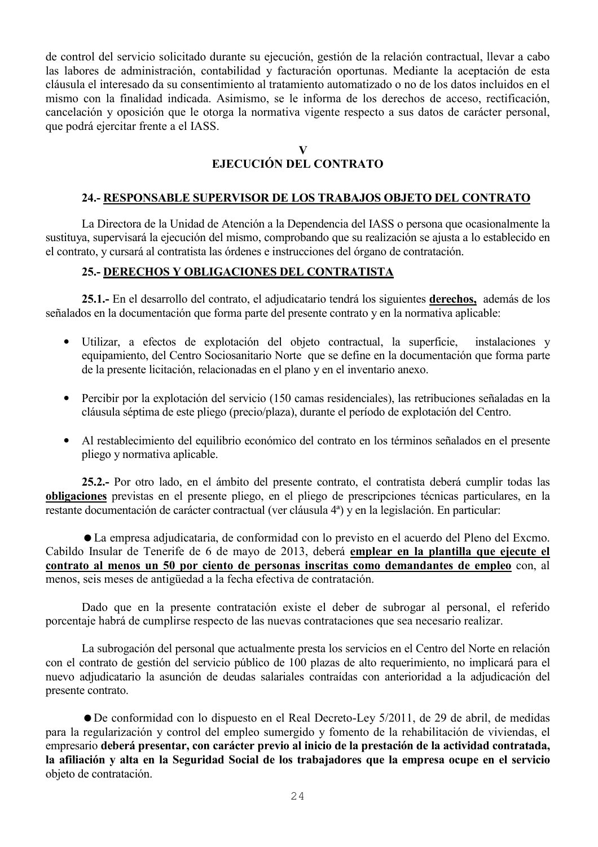de control del servicio solicitado durante su ejecución, gestión de la relación contractual, llevar a cabo las labores de administración, contabilidad y facturación oportunas. Mediante la aceptación de esta cláusula el interesado da su consentimiento al tratamiento automatizado o no de los datos incluidos en el mismo con la finalidad indicada. Asimismo, se le informa de los derechos de acceso, rectificación, cancelación y oposición que le otorga la normativa vigente respecto a sus datos de carácter personal, que podrá ejercitar frente a el IASS.

## EJECUCIÓN DEL CONTRATO

### 24.- RESPONSABLE SUPERVISOR DE LOS TRABAJOS OBJETO DEL CONTRATO

La Directora de la Unidad de Atención a la Dependencia del IASS o persona que ocasionalmente la sustituva, supervisará la ejecución del mismo, comprobando que su realización se ajusta a lo establecido en el contrato, y cursará al contratista las órdenes e instrucciones del órgano de contratación.

## 25.- DERECHOS Y OBLIGACIONES DEL CONTRATISTA

25.1.- En el desarrollo del contrato, el adjudicatario tendrá los siguientes derechos, además de los señalados en la documentación que forma parte del presente contrato y en la normativa aplicable:

- Utilizar, a efectos de explotación del objeto contractual, la superficie, instalaciones v equipamiento, del Centro Sociosanitario Norte que se define en la documentación que forma parte de la presente licitación, relacionadas en el plano y en el inventario anexo.
- Percibir por la explotación del servicio (150 camas residenciales), las retribuciones señaladas en la cláusula séptima de este pliego (precio/plaza), durante el período de explotación del Centro.
- Al restablecimiento del equilibrio económico del contrato en los términos señalados en el presente pliego y normativa aplicable.

25.2.- Por otro lado, en el ámbito del presente contrato, el contratista deberá cumplir todas las obligaciones previstas en el presente pliego, en el pliego de prescripciones técnicas particulares, en la restante documentación de carácter contractual (ver cláusula 4<sup>a</sup>) y en la legislación. En particular:

• La empresa adjudicataria, de conformidad con lo previsto en el acuerdo del Pleno del Excmo. Cabildo Insular de Tenerife de 6 de mayo de 2013, deberá emplear en la plantilla que ejecute el contrato al menos un 50 por ciento de personas inscritas como demandantes de empleo con, al menos, seis meses de antigüedad a la fecha efectiva de contratación.

Dado que en la presente contratación existe el deber de subrogar al personal, el referido porcentaje habrá de cumplirse respecto de las nuevas contrataciones que sea necesario realizar.

La subrogación del personal que actualmente presta los servicios en el Centro del Norte en relación con el contrato de gestión del servicio público de 100 plazas de alto requerimiento, no implicará para el nuevo adjudicatario la asunción de deudas salariales contraídas con anterioridad a la adjudicación del presente contrato.

• De conformidad con lo dispuesto en el Real Decreto-Ley 5/2011, de 29 de abril, de medidas para la regularización y control del empleo sumergido y fomento de la rehabilitación de viviendas, el empresario deberá presentar, con carácter previo al inicio de la prestación de la actividad contratada, la afiliación y alta en la Seguridad Social de los trabajadores que la empresa ocupe en el servicio objeto de contratación.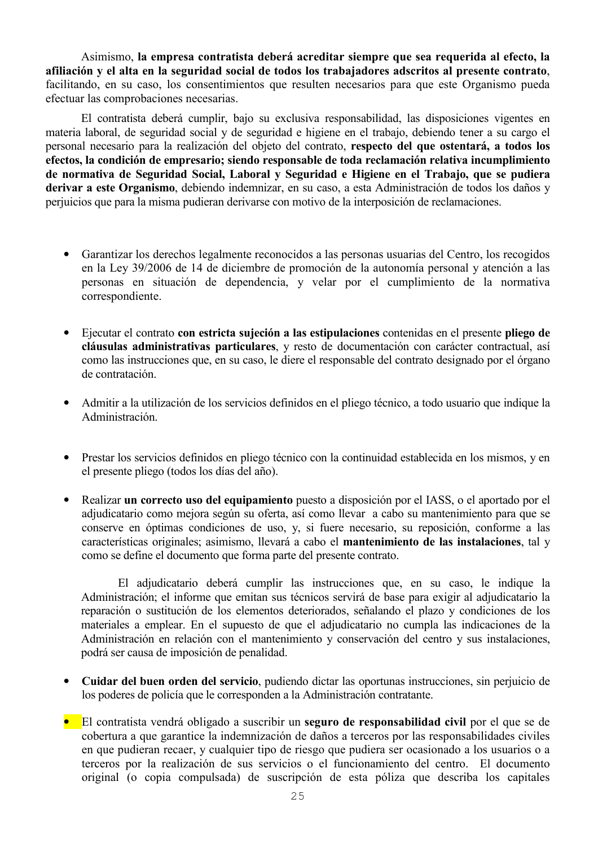Asimismo, la empresa contratista deberá acreditar siempre que sea requerida al efecto, la afiliación y el alta en la seguridad social de todos los trabajadores adscritos al presente contrato, facilitando, en su caso, los consentimientos que resulten necesarios para que este Organismo pueda efectuar las comprobaciones necesarias.

El contratista deberá cumplir, bajo su exclusiva responsabilidad, las disposiciones vigentes en materia laboral, de seguridad social y de seguridad e higiene en el trabajo, debiendo tener a su cargo el personal necesario para la realización del objeto del contrato, respecto del que ostentará, a todos los efectos, la condición de empresario; siendo responsable de toda reclamación relativa incumplimiento de normativa de Seguridad Social, Laboral y Seguridad e Higiene en el Trabajo, que se pudiera derivar a este Organismo, debiendo indemnizar, en su caso, a esta Administración de todos los daños y perjuicios que para la misma pudieran derivarse con motivo de la interposición de reclamaciones.

- Garantizar los derechos legalmente reconocidos a las personas usuarias del Centro, los recogidos en la Ley 39/2006 de 14 de diciembre de promoción de la autonomía personal y atención a las personas en situación de dependencia, y velar por el cumplimiento de la normativa correspondiente.
- Ejecutar el contrato con estricta sujeción a las estipulaciones contenidas en el presente pliego de cláusulas administrativas particulares, y resto de documentación con carácter contractual, así como las instrucciones que, en su caso, le diere el responsable del contrato designado por el órgano de contratación.
- Admitir a la utilización de los servicios definidos en el pliego técnico, a todo usuario que indique la Administración.
- Prestar los servicios definidos en pliego técnico con la continuidad establecida en los mismos, y en el presente pliego (todos los días del año).
- Realizar un correcto uso del equipamiento puesto a disposición por el IASS, o el aportado por el adiudicatario como meiora según su oferta, así como llevar a cabo su mantenimiento para que se conserve en óptimas condiciones de uso, y, si fuere necesario, su reposición, conforme a las características originales; asimismo, llevará a cabo el mantenimiento de las instalaciones, tal y como se define el documento que forma parte del presente contrato.

El adjudicatario deberá cumplir las instrucciones que, en su caso, le indique la Administración; el informe que emitan sus técnicos servirá de base para exigir al adjudicatario la reparación o sustitución de los elementos deteriorados, señalando el plazo y condiciones de los materiales a emplear. En el supuesto de que el adjudicatario no cumpla las indicaciones de la Administración en relación con el mantenimiento y conservación del centro y sus instalaciones, podrá ser causa de imposición de penalidad.

- Cuidar del buen orden del servicio, pudiendo dictar las oportunas instrucciones, sin periuicio de los poderes de policía que le corresponden a la Administración contratante.
- El contratista vendrá obligado a suscribir un **seguro de responsabilidad civil** por el que se de cobertura a que garantice la indemnización de daños a terceros por las responsabilidades civiles en que pudieran recaer, y cualquier tipo de riesgo que pudiera ser ocasionado a los usuarios o a terceros por la realización de sus servicios o el funcionamiento del centro. El documento original (o copia compulsada) de suscripción de esta póliza que describa los capitales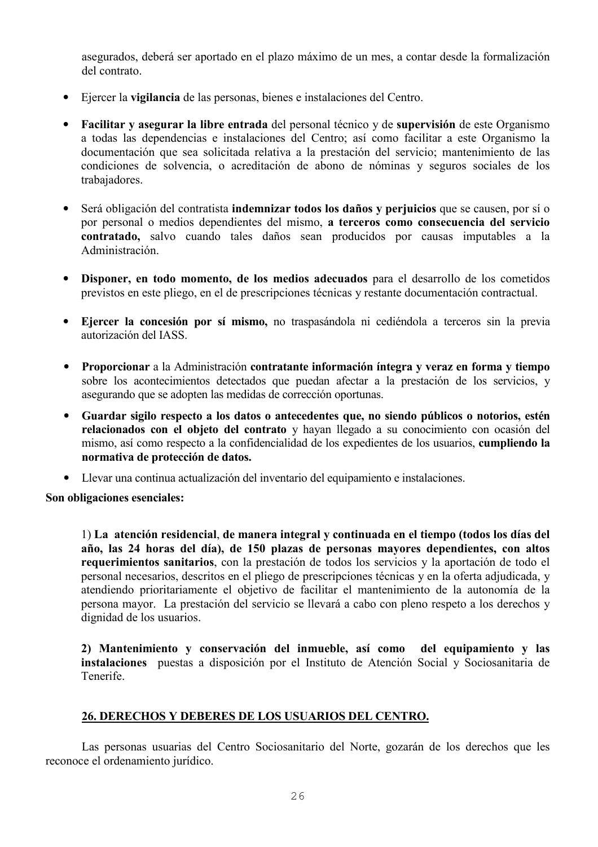asegurados, deberá ser aportado en el plazo máximo de un mes, a contar desde la formalización del contrato.

- Ejercer la vigilancia de las personas, bienes e instalaciones del Centro.  $\bullet$
- Facilitar y asegurar la libre entrada del personal técnico y de supervisión de este Organismo a todas las dependencias e instalaciones del Centro: así como facilitar a este Organismo la documentación que sea solicitada relativa a la prestación del servicio; mantenimiento de las condiciones de solvencia, o acreditación de abono de nóminas y seguros sociales de los trabajadores.
- Será obligación del contratista indemnizar todos los daños y periuicios que se causen, por sí o por personal o medios dependientes del mismo, a terceros como consecuencia del servicio contratado, salvo cuando tales daños sean producidos por causas imputables a la Administración
- Disponer, en todo momento, de los medios adecuados para el desarrollo de los cometidos previstos en este pliego, en el de prescripciones técnicas y restante documentación contractual.
- · Eiercer la concesión por sí mismo, no traspasándola ni cediéndola a terceros sin la previa autorización del IASS.
- Proporcionar a la Administración contratante información íntegra y veraz en forma y tiempo sobre los acontecimientos detectados que puedan afectar a la prestación de los servicios, y asegurando que se adopten las medidas de corrección oportunas.
- Guardar sigilo respecto a los datos o antecedentes que, no siendo públicos o notorios, estén relacionados con el objeto del contrato y hayan llegado a su conocimiento con ocasión del mismo, así como respecto a la confidencialidad de los expedientes de los usuarios, cumpliendo la normativa de protección de datos.
- Llevar una continua actualización del inventario del equipamiento e instalaciones.

Son obligaciones esenciales:

1) La atención residencial, de manera integral y continuada en el tiempo (todos los días del año, las 24 horas del día), de 150 plazas de personas mayores dependientes, con altos requerimientos sanitarios, con la prestación de todos los servicios y la aportación de todo el personal necesarios, descritos en el pliego de prescripciones técnicas y en la oferta adjudicada, y atendiendo prioritariamente el objetivo de facilitar el mantenimiento de la autonomía de la persona mayor. La prestación del servicio se llevará a cabo con pleno respeto a los derechos y dignidad de los usuarios.

2) Mantenimiento y conservación del inmueble, así como del equipamiento y las instalaciones puestas a disposición por el Instituto de Atención Social y Sociosanitaria de Tenerife.

#### 26. DERECHOS Y DEBERES DE LOS USUARIOS DEL CENTRO.

Las personas usuarias del Centro Sociosanitario del Norte, gozarán de los derechos que les reconoce el ordenamiento jurídico.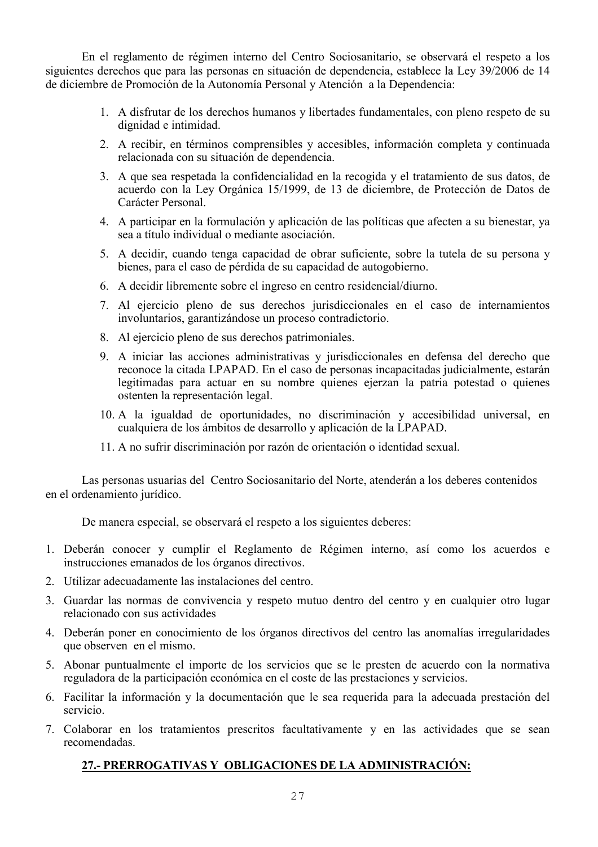En el reglamento de régimen interno del Centro Sociosanitario, se observará el respeto a los siguientes derechos que para las personas en situación de dependencia, establece la Ley 39/2006 de 14 de diciembre de Promoción de la Autonomía Personal y Atención a la Dependencia:

- 1. A disfrutar de los derechos humanos y libertades fundamentales, con pleno respeto de su dignidad e intimidad.
- 2. A recibir, en términos comprensibles y accesibles, información completa y continuada relacionada con su situación de dependencia.
- 3. A que sea respetada la confidencialidad en la recogida y el tratamiento de sus datos, de acuerdo con la Ley Orgánica 15/1999, de 13 de diciembre, de Protección de Datos de Carácter Personal.
- 4. A participar en la formulación y aplicación de las políticas que afecten a su bienestar, ya sea a título individual o mediante asociación.
- 5. A decidir, cuando tenga capacidad de obrar suficiente, sobre la tutela de su persona y bienes, para el caso de pérdida de su capacidad de autogobierno.
- 6. A decidir libremente sobre el ingreso en centro residencial/diurno.
- 7. Al ejercicio pleno de sus derechos jurisdiccionales en el caso de internamientos involuntarios, garantizándose un proceso contradictorio.
- 8. Al ejercicio pleno de sus derechos patrimoniales.
- 9. A iniciar las acciones administrativas y jurisdiccionales en defensa del derecho que reconoce la citada LPAPAD. En el caso de personas incapacitadas judicialmente, estarán legitimadas para actuar en su nombre quienes ejerzan la patria potestad o quienes ostenten la representación legal.
- 10. A la igualdad de oportunidades, no discriminación y accesibilidad universal, en cualquiera de los ámbitos de desarrollo y aplicación de la LPAPAD.
- 11. A no sufrir discriminación por razón de orientación o identidad sexual.

Las personas usuarias del Centro Sociosanitario del Norte, atenderán a los deberes contenidos en el ordenamiento jurídico.

De manera especial, se observará el respeto a los siguientes deberes:

- 1. Deberán conocer y cumplir el Reglamento de Régimen interno, así como los acuerdos e instrucciones emanados de los órganos directivos.
- 2. Utilizar adecuadamente las instalaciones del centro.
- 3. Guardar las normas de convivencia y respeto mutuo dentro del centro y en cualquier otro lugar relacionado con sus actividades
- 4. Deberán poner en conocimiento de los órganos directivos del centro las anomalías irregularidades que observen en el mismo.
- 5. Abonar puntualmente el importe de los servicios que se le presten de acuerdo con la normativa reguladora de la participación económica en el coste de las prestaciones y servicios.
- 6. Facilitar la información y la documentación que le sea requerida para la adecuada prestación del servicio.
- 7. Colaborar en los tratamientos prescritos facultativamente y en las actividades que se sean recomendadas.

#### 27.- PRERROGATIVAS Y OBLIGACIONES DE LA ADMINISTRACIÓN: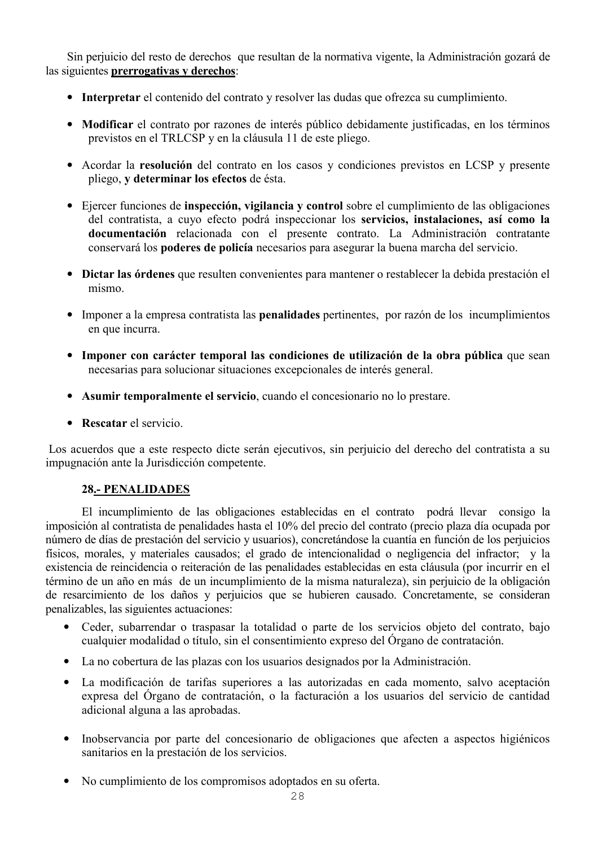Sin perjuicio del resto de derechos que resultan de la normativa vigente, la Administración gozará de las siguientes prerrogativas y derechos:

- Interpretar el contenido del contrato y resolver las dudas que ofrezca su cumplimiento.
- Modificar el contrato por razones de interés público debidamente justificadas, en los términos previstos en el TRLCSP y en la cláusula 11 de este pliego.
- Acordar la resolución del contrato en los casos y condiciones previstos en LCSP y presente pliego, y determinar los efectos de ésta.
- Ejercer funciones de inspección, vigilancia y control sobre el cumplimiento de las obligaciones del contratista, a cuvo efecto podrá inspeccionar los servicios, instalaciones, así como la documentación relacionada con el presente contrato. La Administración contratante conservará los poderes de policía necesarios para asegurar la buena marcha del servicio.
- Dictar las órdenes que resulten convenientes para mantener o restablecer la debida prestación el mismo.
- Imponer a la empresa contratista las **penalidades** pertinentes, por razón de los incumplimientos en que incurra.
- Imponer con carácter temporal las condiciones de utilización de la obra pública que sean necesarias para solucionar situaciones excepcionales de interés general.
- Asumir temporalmente el servicio, cuando el concesionario no lo prestare.
- $\bullet$  Rescatar el servicio

Los acuerdos que a este respecto dicte serán ejecutivos, sin perjuicio del derecho del contratista a su impugnación ante la Jurisdicción competente.

#### **28.- PENALIDADES**

El incumplimiento de las obligaciones establecidas en el contrato podrá llevar consigo la imposición al contratista de penalidades hasta el 10% del precio del contrato (precio plaza día ocupada por número de días de prestación del servicio y usuarios), concretándose la cuantía en función de los perjuicios físicos, morales, y materiales causados; el grado de intencionalidad o negligencia del infractor; y la existencia de reincidencia o reiteración de las penalidades establecidas en esta cláusula (por incurrir en el término de un año en más de un incumplimiento de la misma naturaleza), sin periuicio de la obligación de resarcimiento de los daños y perjuicios que se hubieren causado. Concretamente, se consideran penalizables, las siguientes actuaciones:

- Ceder, subarrendar o traspasar la totalidad o parte de los servicios objeto del contrato, bajo cualquier modalidad o título, sin el consentimiento expreso del Órgano de contratación.
- La no cobertura de las plazas con los usuarios designados por la Administración.
- La modificación de tarifas superiores a las autorizadas en cada momento, salvo aceptación expresa del Órgano de contratación, o la facturación a los usuarios del servicio de cantidad adicional alguna a las aprobadas.
- Inobservancia por parte del concesionario de obligaciones que afecten a aspectos higiénicos sanitarios en la prestación de los servicios.
- No cumplimiento de los compromisos adoptados en su oferta.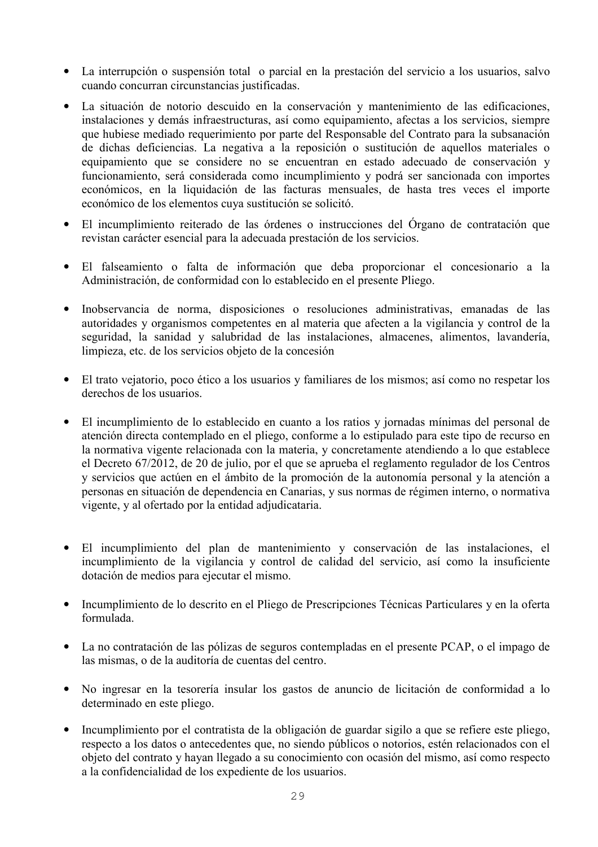- La interrupción o suspensión total o parcial en la prestación del servicio a los usuarios, salvo cuando concurran circunstancias iustificadas.
- La situación de notorio descuido en la conservación y mantenimiento de las edificaciones, instalaciones y demás infraestructuras, así como equipamiento, afectas a los servicios, siempre que hubiese mediado requerimiento por parte del Responsable del Contrato para la subsanación de dichas deficiencias. La negativa a la reposición o sustitución de aquellos materiales o equipamiento que se considere no se encuentran en estado adecuado de conservación y funcionamiento, será considerada como incumplimiento y podrá ser sancionada con importes económicos, en la liquidación de las facturas mensuales, de hasta tres veces el importe económico de los elementos cuya sustitución se solicitó.
- El incumplimiento reiterado de las órdenes o instrucciones del Órgano de contratación que revistan carácter esencial para la adecuada prestación de los servicios.
- · El falseamiento o falta de información que deba proporcionar el concesionario a la Administración, de conformidad con lo establecido en el presente Pliego.
- · Inobservancia de norma, disposiciones o resoluciones administrativas, emanadas de las autoridades y organismos competentes en al materia que afecten a la vigilancia y control de la seguridad, la sanidad y salubridad de las instalaciones, almacenes, alimentos, lavandería, limpieza, etc. de los servicios objeto de la concesión
- El trato vejatorio, poco ético a los usuarios y familiares de los mismos; así como no respetar los derechos de los usuarios.
- El incumplimiento de lo establecido en cuanto a los ratios y jornadas mínimas del personal de atención directa contemplado en el pliego, conforme a lo estipulado para este tipo de recurso en la normativa vigente relacionada con la materia, y concretamente atendiendo a lo que establece el Decreto 67/2012, de 20 de julio, por el que se aprueba el reglamento regulador de los Centros y servicios que actúen en el ámbito de la promoción de la autonomía personal y la atención a personas en situación de dependencia en Canarias, y sus normas de régimen interno, o normativa vigente, y al ofertado por la entidad adjudicataria.
- · El incumplimiento del plan de mantenimiento y conservación de las instalaciones, el incumplimiento de la vigilancia y control de calidad del servicio, así como la insuficiente dotación de medios para ejecutar el mismo.
- Incumplimiento de lo descrito en el Pliego de Prescripciones Técnicas Particulares y en la oferta formulada.
- La no contratación de las pólizas de seguros contempladas en el presente PCAP, o el impago de las mismas, o de la auditoría de cuentas del centro.
- No ingresar en la tesorería insular los gastos de anuncio de licitación de conformidad a lo determinado en este pliego.
- Incumplimiento por el contratista de la obligación de guardar sigilo a que se refiere este pliego, respecto a los datos o antecedentes que, no siendo públicos o notorios, estén relacionados con el objeto del contrato y hayan llegado a su conocimiento con ocasión del mismo, así como respecto a la confidencialidad de los expediente de los usuarios.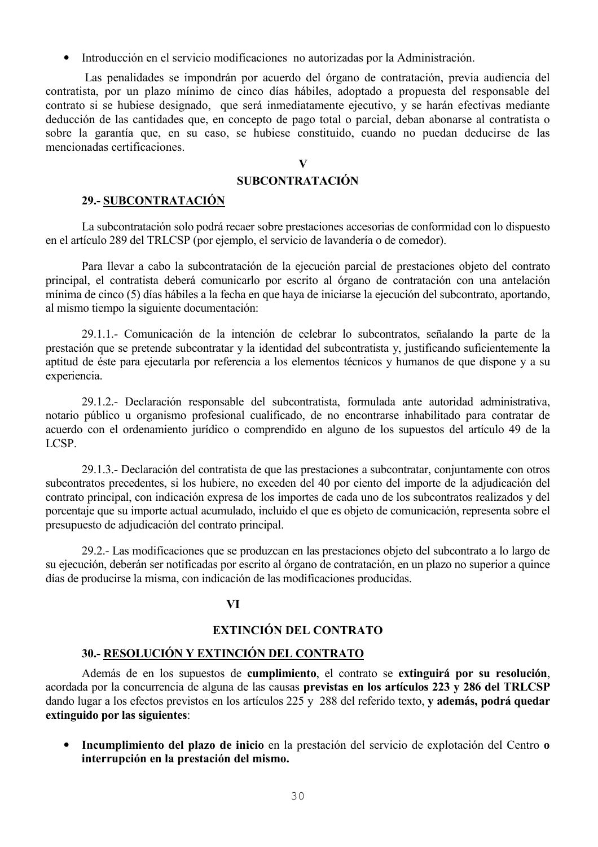Introducción en el servicio modificaciones no autorizadas por la Administración.

Las penalidades se impondrán por acuerdo del órgano de contratación, previa audiencia del contratista, por un plazo mínimo de cinco días hábiles, adoptado a propuesta del responsable del contrato si se hubiese designado, que será inmediatamente ejecutivo, y se harán efectivas mediante deducción de las cantidades que, en concepto de pago total o parcial, deban abonarse al contratista o sobre la garantía que, en su caso, se hubiese constituido, cuando no puedan deducirse de las mencionadas certificaciones.

#### $\overline{\mathbf{V}}$

## **SUBCONTRATACIÓN**

#### 29.- SUBCONTRATACIÓN

La subcontratación solo podrá recaer sobre prestaciones accesorias de conformidad con lo dispuesto en el artículo 289 del TRLCSP (por ejemplo, el servicio de lavandería o de comedor).

Para llevar a cabo la subcontratación de la ejecución parcial de prestaciones objeto del contrato principal, el contratista deberá comunicarlo por escrito al órgano de contratación con una antelación mínima de cinco (5) días hábiles a la fecha en que haya de iniciarse la ejecución del subcontrato, aportando, al mismo tiempo la siguiente documentación:

29.1.1.- Comunicación de la intención de celebrar lo subcontratos, señalando la parte de la prestación que se pretende subcontratar y la identidad del subcontratista y, justificando suficientemente la aptitud de éste para ejecutarla por referencia a los elementos técnicos y humanos de que dispone y a su experiencia.

29.1.2.- Declaración responsable del subcontratista, formulada ante autoridad administrativa, notario público u organismo profesional cualificado, de no encontrarse inhabilitado para contratar de acuerdo con el ordenamiento jurídico o comprendido en alguno de los supuestos del artículo 49 de la LCSP.

29.1.3.- Declaración del contratista de que las prestaciones a subcontratar, conjuntamente con otros subcontratos precedentes, si los hubiere, no exceden del 40 por ciento del importe de la adjudicación del contrato principal, con indicación expresa de los importes de cada uno de los subcontratos realizados y del porcentaje que su importe actual acumulado, incluido el que es objeto de comunicación, representa sobre el presupuesto de adjudicación del contrato principal.

29.2.- Las modificaciones que se produzcan en las prestaciones objeto del subcontrato a lo largo de su ejecución, deberán ser notificadas por escrito al órgano de contratación, en un plazo no superior a quince días de producirse la misma, con indicación de las modificaciones producidas.

#### **VI**

## EXTINCIÓN DEL CONTRATO

#### 30.- RESOLUCIÓN Y EXTINCIÓN DEL CONTRATO

Además de en los supuestos de cumplimiento, el contrato se extinguirá por su resolución, acordada por la concurrencia de alguna de las causas previstas en los artículos 223 y 286 del TRLCSP dando lugar a los efectos previstos en los artículos 225 y 288 del referido texto, y además, podrá quedar extinguido por las siguientes:

• Incumplimiento del plazo de inicio en la prestación del servicio de explotación del Centro o interrupción en la prestación del mismo.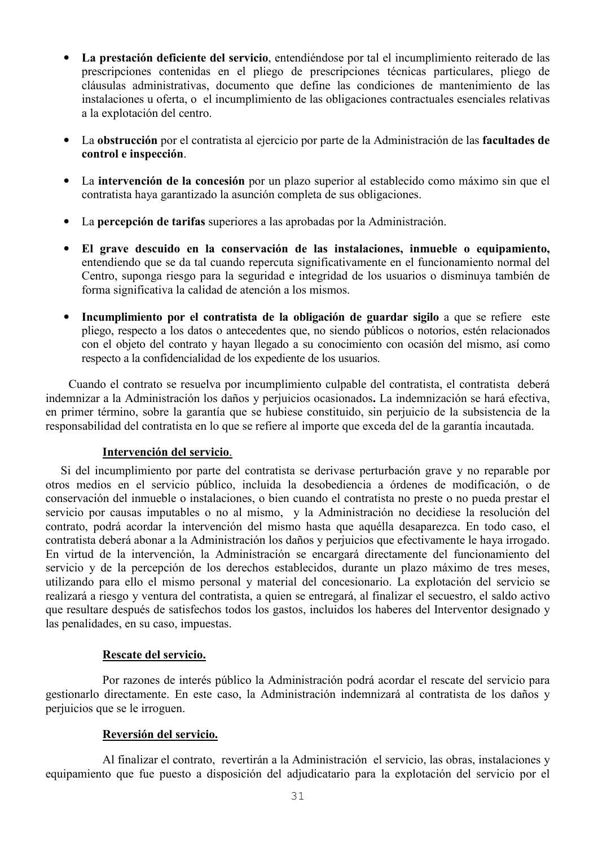- La prestación deficiente del servicio, entendiéndose por tal el incumplimiento reiterado de las prescripciones contenidas en el pliego de prescripciones técnicas particulares, pliego de cláusulas administrativas, documento que define las condiciones de mantenimiento de las instalaciones u oferta, o el incumplimiento de las obligaciones contractuales esenciales relativas a la explotación del centro.
- La obstrucción por el contratista al ejercicio por parte de la Administración de las facultades de control e inspección.
- La intervención de la concesión por un plazo superior al establecido como máximo sin que el contratista hava garantizado la asunción completa de sus obligaciones.
- La percepción de tarifas superiores a las aprobadas por la Administración.
- · El grave descuido en la conservación de las instalaciones, inmueble o equipamiento, entendiendo que se da tal cuando repercuta significativamente en el funcionamiento normal del Centro, suponga riesgo para la seguridad e integridad de los usuarios o disminuya también de forma significativa la calidad de atención a los mismos.
- Incumplimiento por el contratista de la obligación de guardar sigilo a que se refiere este pliego, respecto a los datos o antecedentes que, no siendo públicos o notorios, estén relacionados con el objeto del contrato y hayan llegado a su conocimiento con ocasión del mismo, así como respecto a la confidencialidad de los expediente de los usuarios.

Cuando el contrato se resuelva por incumplimiento culpable del contratista, el contratista deberá indemnizar a la Administración los daños y perjuicios ocasionados. La indemnización se hará efectiva, en primer término, sobre la garantía que se hubiese constituido, sin perjuicio de la subsistencia de la responsabilidad del contratista en lo que se refiere al importe que exceda del de la garantía incautada.

#### Intervención del servicio.

Si del incumplimiento por parte del contratista se derivase perturbación grave y no reparable por otros medios en el servicio público, incluida la desobediencia a órdenes de modificación, o de conservación del inmueble o instalaciones, o bien cuando el contratista no preste o no pueda prestar el servicio por causas imputables o no al mismo, y la Administración no decidiese la resolución del contrato, podrá acordar la intervención del mismo hasta que aquélla desaparezca. En todo caso, el contratista deberá abonar a la Administración los daños y perjuicios que efectivamente le haya irrogado. En virtud de la intervención, la Administración se encargará directamente del funcionamiento del servicio y de la percepción de los derechos establecidos, durante un plazo máximo de tres meses, utilizando para ello el mismo personal y material del concesionario. La explotación del servicio se realizará a riesgo y ventura del contratista, a quien se entregará, al finalizar el secuestro, el saldo activo que resultare después de satisfechos todos los gastos, incluidos los haberes del Interventor designado y las penalidades, en su caso, impuestas.

#### Rescate del servicio.

Por razones de interés público la Administración podrá acordar el rescate del servicio para gestionarlo directamente. En este caso, la Administración indemnizará al contratista de los daños y perjuicios que se le irroguen.

#### Reversión del servicio.

Al finalizar el contrato, revertirán a la Administración el servicio, las obras, instalaciones y equipamiento que fue puesto a disposición del adjudicatario para la explotación del servicio por el